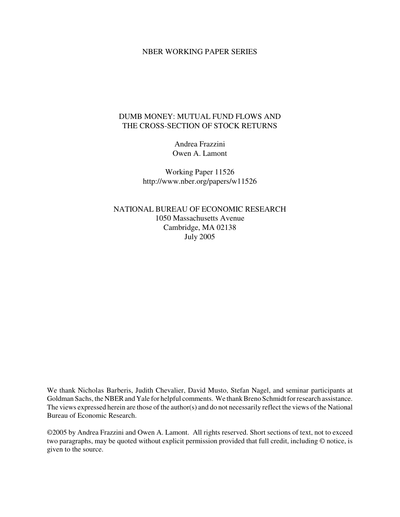#### NBER WORKING PAPER SERIES

# DUMB MONEY: MUTUAL FUND FLOWS AND THE CROSS-SECTION OF STOCK RETURNS

Andrea Frazzini Owen A. Lamont

Working Paper 11526 http://www.nber.org/papers/w11526

NATIONAL BUREAU OF ECONOMIC RESEARCH 1050 Massachusetts Avenue Cambridge, MA 02138 July 2005

We thank Nicholas Barberis, Judith Chevalier, David Musto, Stefan Nagel, and seminar participants at Goldman Sachs, the NBER and Yale for helpful comments. We thank Breno Schmidt for research assistance. The views expressed herein are those of the author(s) and do not necessarily reflect the views of the National Bureau of Economic Research.

©2005 by Andrea Frazzini and Owen A. Lamont. All rights reserved. Short sections of text, not to exceed two paragraphs, may be quoted without explicit permission provided that full credit, including © notice, is given to the source.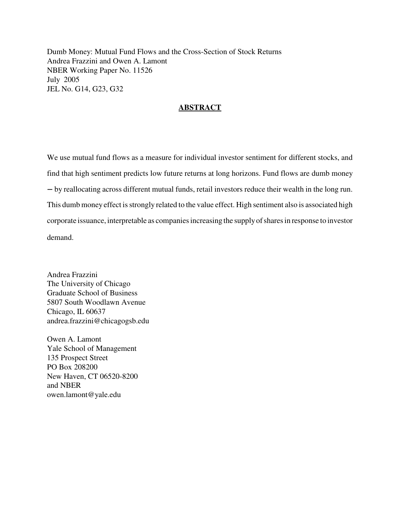Dumb Money: Mutual Fund Flows and the Cross-Section of Stock Returns Andrea Frazzini and Owen A. Lamont NBER Working Paper No. 11526 July 2005 JEL No. G14, G23, G32

## **ABSTRACT**

We use mutual fund flows as a measure for individual investor sentiment for different stocks, and find that high sentiment predicts low future returns at long horizons. Fund flows are dumb money by reallocating across different mutual funds, retail investors reduce their wealth in the long run. This dumb money effect is strongly related to the value effect. High sentiment also is associated high corporate issuance, interpretable as companiesincreasing the supplyofsharesin response to investor demand.

Andrea Frazzini The University of Chicago Graduate School of Business 5807 South Woodlawn Avenue Chicago, IL 60637 andrea.frazzini@chicagogsb.edu

Owen A. Lamont Yale School of Management 135 Prospect Street PO Box 208200 New Haven, CT 06520-8200 and NBER owen.lamont@yale.edu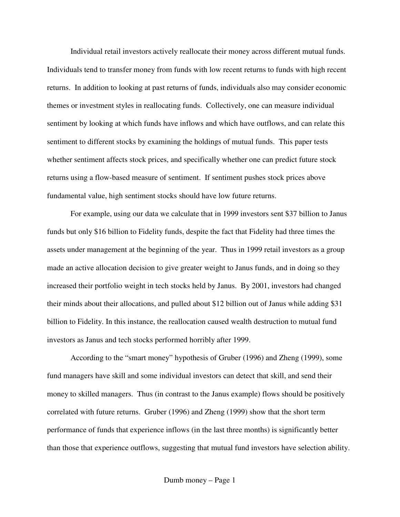Individual retail investors actively reallocate their money across different mutual funds. Individuals tend to transfer money from funds with low recent returns to funds with high recent returns. In addition to looking at past returns of funds, individuals also may consider economic themes or investment styles in reallocating funds. Collectively, one can measure individual sentiment by looking at which funds have inflows and which have outflows, and can relate this sentiment to different stocks by examining the holdings of mutual funds. This paper tests whether sentiment affects stock prices, and specifically whether one can predict future stock returns using a flow-based measure of sentiment. If sentiment pushes stock prices above fundamental value, high sentiment stocks should have low future returns.

For example, using our data we calculate that in 1999 investors sent \$37 billion to Janus funds but only \$16 billion to Fidelity funds, despite the fact that Fidelity had three times the assets under management at the beginning of the year. Thus in 1999 retail investors as a group made an active allocation decision to give greater weight to Janus funds, and in doing so they increased their portfolio weight in tech stocks held by Janus. By 2001, investors had changed their minds about their allocations, and pulled about \$12 billion out of Janus while adding \$31 billion to Fidelity. In this instance, the reallocation caused wealth destruction to mutual fund investors as Janus and tech stocks performed horribly after 1999.

According to the "smart money" hypothesis of Gruber (1996) and Zheng (1999), some fund managers have skill and some individual investors can detect that skill, and send their money to skilled managers. Thus (in contrast to the Janus example) flows should be positively correlated with future returns. Gruber (1996) and Zheng (1999) show that the short term performance of funds that experience inflows (in the last three months) is significantly better than those that experience outflows, suggesting that mutual fund investors have selection ability.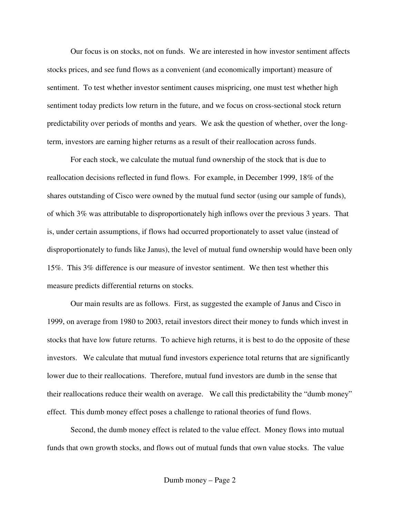Our focus is on stocks, not on funds. We are interested in how investor sentiment affects stocks prices, and see fund flows as a convenient (and economically important) measure of sentiment. To test whether investor sentiment causes mispricing, one must test whether high sentiment today predicts low return in the future, and we focus on cross-sectional stock return predictability over periods of months and years. We ask the question of whether, over the longterm, investors are earning higher returns as a result of their reallocation across funds.

For each stock, we calculate the mutual fund ownership of the stock that is due to reallocation decisions reflected in fund flows. For example, in December 1999, 18% of the shares outstanding of Cisco were owned by the mutual fund sector (using our sample of funds), of which 3% was attributable to disproportionately high inflows over the previous 3 years. That is, under certain assumptions, if flows had occurred proportionately to asset value (instead of disproportionately to funds like Janus), the level of mutual fund ownership would have been only 15%. This 3% difference is our measure of investor sentiment. We then test whether this measure predicts differential returns on stocks.

Our main results are as follows. First, as suggested the example of Janus and Cisco in 1999, on average from 1980 to 2003, retail investors direct their money to funds which invest in stocks that have low future returns. To achieve high returns, it is best to do the opposite of these investors. We calculate that mutual fund investors experience total returns that are significantly lower due to their reallocations. Therefore, mutual fund investors are dumb in the sense that their reallocations reduce their wealth on average. We call this predictability the "dumb money" effect. This dumb money effect poses a challenge to rational theories of fund flows.

Second, the dumb money effect is related to the value effect. Money flows into mutual funds that own growth stocks, and flows out of mutual funds that own value stocks. The value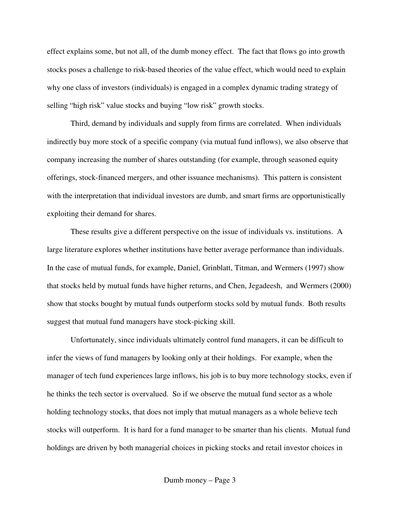effect explains some, but not all, of the dumb money effect. The fact that flows go into growth stocks poses a challenge to risk-based theories of the value effect, which would need to explain why one class of investors (individuals) is engaged in a complex dynamic trading strategy of selling "high risk" value stocks and buying "low risk" growth stocks.

Third, demand by individuals and supply from firms are correlated. When individuals indirectly buy more stock of a specific company (via mutual fund inflows), we also observe that company increasing the number of shares outstanding (for example, through seasoned equity offerings, stock-financed mergers, and other issuance mechanisms). This pattern is consistent with the interpretation that individual investors are dumb, and smart firms are opportunistically exploiting their demand for shares.

These results give a different perspective on the issue of individuals vs. institutions. A large literature explores whether institutions have better average performance than individuals. In the case of mutual funds, for example, Daniel, Grinblatt, Titman, and Wermers (1997) show that stocks held by mutual funds have higher returns, and Chen, Jegadeesh, and Wermers (2000) show that stocks bought by mutual funds outperform stocks sold by mutual funds. Both results suggest that mutual fund managers have stock-picking skill.

Unfortunately, since individuals ultimately control fund managers, it can be difficult to infer the views of fund managers by looking only at their holdings. For example, when the manager of tech fund experiences large inflows, his job is to buy more technology stocks, even if he thinks the tech sector is overvalued. So if we observe the mutual fund sector as a whole holding technology stocks, that does not imply that mutual managers as a whole believe tech stocks will outperform. It is hard for a fund manager to be smarter than his clients. Mutual fund holdings are driven by both managerial choices in picking stocks and retail investor choices in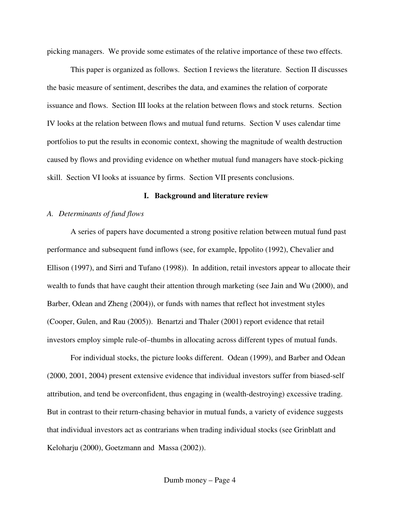picking managers. We provide some estimates of the relative importance of these two effects.

This paper is organized as follows. Section I reviews the literature. Section II discusses the basic measure of sentiment, describes the data, and examines the relation of corporate issuance and flows. Section III looks at the relation between flows and stock returns. Section IV looks at the relation between flows and mutual fund returns. Section V uses calendar time portfolios to put the results in economic context, showing the magnitude of wealth destruction caused by flows and providing evidence on whether mutual fund managers have stock-picking skill. Section VI looks at issuance by firms. Section VII presents conclusions.

## **I. Background and literature review**

## *A. Determinants of fund flows*

A series of papers have documented a strong positive relation between mutual fund past performance and subsequent fund inflows (see, for example, Ippolito (1992), Chevalier and Ellison (1997), and Sirri and Tufano (1998)). In addition, retail investors appear to allocate their wealth to funds that have caught their attention through marketing (see Jain and Wu (2000), and Barber, Odean and Zheng (2004)), or funds with names that reflect hot investment styles (Cooper, Gulen, and Rau (2005)). Benartzi and Thaler (2001) report evidence that retail investors employ simple rule-of–thumbs in allocating across different types of mutual funds.

For individual stocks, the picture looks different. Odean (1999), and Barber and Odean (2000, 2001, 2004) present extensive evidence that individual investors suffer from biased-self attribution, and tend be overconfident, thus engaging in (wealth-destroying) excessive trading. But in contrast to their return-chasing behavior in mutual funds, a variety of evidence suggests that individual investors act as contrarians when trading individual stocks (see Grinblatt and Keloharju (2000), Goetzmann and Massa (2002)).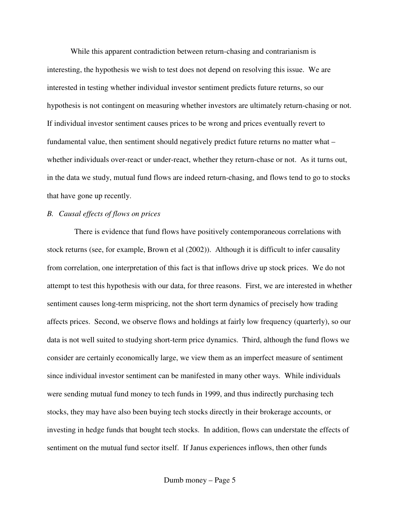While this apparent contradiction between return-chasing and contrarianism is interesting, the hypothesis we wish to test does not depend on resolving this issue. We are interested in testing whether individual investor sentiment predicts future returns, so our hypothesis is not contingent on measuring whether investors are ultimately return-chasing or not. If individual investor sentiment causes prices to be wrong and prices eventually revert to fundamental value, then sentiment should negatively predict future returns no matter what – whether individuals over-react or under-react, whether they return-chase or not. As it turns out, in the data we study, mutual fund flows are indeed return-chasing, and flows tend to go to stocks that have gone up recently.

## *B. Causal effects of flows on prices*

There is evidence that fund flows have positively contemporaneous correlations with stock returns (see, for example, Brown et al (2002)). Although it is difficult to infer causality from correlation, one interpretation of this fact is that inflows drive up stock prices. We do not attempt to test this hypothesis with our data, for three reasons. First, we are interested in whether sentiment causes long-term mispricing, not the short term dynamics of precisely how trading affects prices. Second, we observe flows and holdings at fairly low frequency (quarterly), so our data is not well suited to studying short-term price dynamics. Third, although the fund flows we consider are certainly economically large, we view them as an imperfect measure of sentiment since individual investor sentiment can be manifested in many other ways. While individuals were sending mutual fund money to tech funds in 1999, and thus indirectly purchasing tech stocks, they may have also been buying tech stocks directly in their brokerage accounts, or investing in hedge funds that bought tech stocks. In addition, flows can understate the effects of sentiment on the mutual fund sector itself. If Janus experiences inflows, then other funds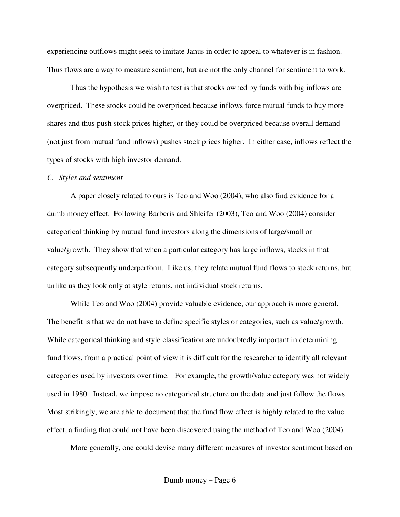experiencing outflows might seek to imitate Janus in order to appeal to whatever is in fashion. Thus flows are a way to measure sentiment, but are not the only channel for sentiment to work.

Thus the hypothesis we wish to test is that stocks owned by funds with big inflows are overpriced. These stocks could be overpriced because inflows force mutual funds to buy more shares and thus push stock prices higher, or they could be overpriced because overall demand (not just from mutual fund inflows) pushes stock prices higher. In either case, inflows reflect the types of stocks with high investor demand.

#### *C. Styles and sentiment*

A paper closely related to ours is Teo and Woo (2004), who also find evidence for a dumb money effect. Following Barberis and Shleifer (2003), Teo and Woo (2004) consider categorical thinking by mutual fund investors along the dimensions of large/small or value/growth. They show that when a particular category has large inflows, stocks in that category subsequently underperform. Like us, they relate mutual fund flows to stock returns, but unlike us they look only at style returns, not individual stock returns.

While Teo and Woo (2004) provide valuable evidence, our approach is more general. The benefit is that we do not have to define specific styles or categories, such as value/growth. While categorical thinking and style classification are undoubtedly important in determining fund flows, from a practical point of view it is difficult for the researcher to identify all relevant categories used by investors over time. For example, the growth/value category was not widely used in 1980. Instead, we impose no categorical structure on the data and just follow the flows. Most strikingly, we are able to document that the fund flow effect is highly related to the value effect, a finding that could not have been discovered using the method of Teo and Woo (2004).

More generally, one could devise many different measures of investor sentiment based on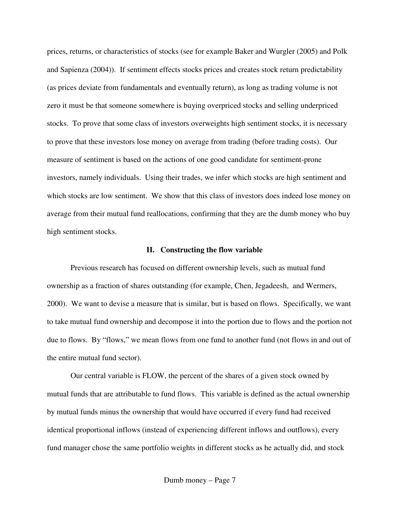prices, returns, or characteristics of stocks (see for example Baker and Wurgler (2005) and Polk and Sapienza (2004)). If sentiment effects stocks prices and creates stock return predictability (as prices deviate from fundamentals and eventually return), as long as trading volume is not zero it must be that someone somewhere is buying overpriced stocks and selling underpriced stocks. To prove that some class of investors overweights high sentiment stocks, it is necessary to prove that these investors lose money on average from trading (before trading costs). Our measure of sentiment is based on the actions of one good candidate for sentiment-prone investors, namely individuals. Using their trades, we infer which stocks are high sentiment and which stocks are low sentiment. We show that this class of investors does indeed lose money on average from their mutual fund reallocations, confirming that they are the dumb money who buy high sentiment stocks.

#### **II. Constructing the flow variable**

Previous research has focused on different ownership levels, such as mutual fund ownership as a fraction of shares outstanding (for example, Chen, Jegadeesh, and Wermers, 2000). We want to devise a measure that is similar, but is based on flows. Specifically, we want to take mutual fund ownership and decompose it into the portion due to flows and the portion not due to flows. By "flows," we mean flows from one fund to another fund (not flows in and out of the entire mutual fund sector).

Our central variable is FLOW, the percent of the shares of a given stock owned by mutual funds that are attributable to fund flows. This variable is defined as the actual ownership by mutual funds minus the ownership that would have occurred if every fund had received identical proportional inflows (instead of experiencing different inflows and outflows), every fund manager chose the same portfolio weights in different stocks as he actually did, and stock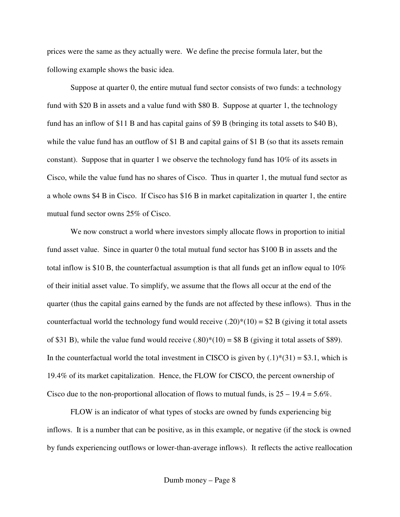prices were the same as they actually were. We define the precise formula later, but the following example shows the basic idea.

Suppose at quarter 0, the entire mutual fund sector consists of two funds: a technology fund with \$20 B in assets and a value fund with \$80 B. Suppose at quarter 1, the technology fund has an inflow of \$11 B and has capital gains of \$9 B (bringing its total assets to \$40 B), while the value fund has an outflow of \$1 B and capital gains of \$1 B (so that its assets remain constant). Suppose that in quarter 1 we observe the technology fund has 10% of its assets in Cisco, while the value fund has no shares of Cisco. Thus in quarter 1, the mutual fund sector as a whole owns \$4 B in Cisco. If Cisco has \$16 B in market capitalization in quarter 1, the entire mutual fund sector owns 25% of Cisco.

We now construct a world where investors simply allocate flows in proportion to initial fund asset value. Since in quarter 0 the total mutual fund sector has \$100 B in assets and the total inflow is \$10 B, the counterfactual assumption is that all funds get an inflow equal to 10% of their initial asset value. To simplify, we assume that the flows all occur at the end of the quarter (thus the capital gains earned by the funds are not affected by these inflows). Thus in the counterfactual world the technology fund would receive  $(.20)*(10) = $2 B$  (giving it total assets of \$31 B), while the value fund would receive  $(.80)*(10) = $8$  B (giving it total assets of \$89). In the counterfactual world the total investment in CISCO is given by  $(.1) * (31) = $3.1$ , which is 19.4% of its market capitalization. Hence, the FLOW for CISCO, the percent ownership of Cisco due to the non-proportional allocation of flows to mutual funds, is  $25 - 19.4 = 5.6\%$ .

FLOW is an indicator of what types of stocks are owned by funds experiencing big inflows. It is a number that can be positive, as in this example, or negative (if the stock is owned by funds experiencing outflows or lower-than-average inflows). It reflects the active reallocation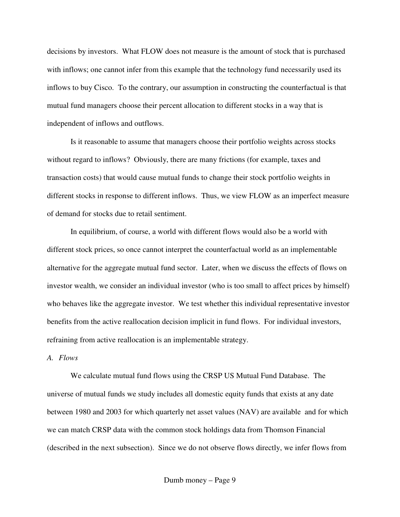decisions by investors. What FLOW does not measure is the amount of stock that is purchased with inflows; one cannot infer from this example that the technology fund necessarily used its inflows to buy Cisco. To the contrary, our assumption in constructing the counterfactual is that mutual fund managers choose their percent allocation to different stocks in a way that is independent of inflows and outflows.

Is it reasonable to assume that managers choose their portfolio weights across stocks without regard to inflows? Obviously, there are many frictions (for example, taxes and transaction costs) that would cause mutual funds to change their stock portfolio weights in different stocks in response to different inflows. Thus, we view FLOW as an imperfect measure of demand for stocks due to retail sentiment.

In equilibrium, of course, a world with different flows would also be a world with different stock prices, so once cannot interpret the counterfactual world as an implementable alternative for the aggregate mutual fund sector. Later, when we discuss the effects of flows on investor wealth, we consider an individual investor (who is too small to affect prices by himself) who behaves like the aggregate investor. We test whether this individual representative investor benefits from the active reallocation decision implicit in fund flows. For individual investors, refraining from active reallocation is an implementable strategy.

## *A. Flows*

We calculate mutual fund flows using the CRSP US Mutual Fund Database. The universe of mutual funds we study includes all domestic equity funds that exists at any date between 1980 and 2003 for which quarterly net asset values (NAV) are available and for which we can match CRSP data with the common stock holdings data from Thomson Financial (described in the next subsection). Since we do not observe flows directly, we infer flows from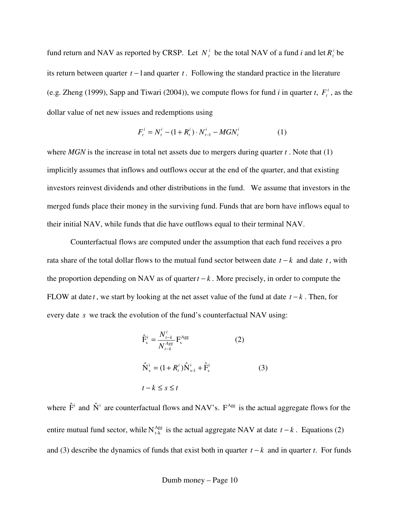fund return and NAV as reported by CRSP. Let  $N_t^i$  be the total NAV of a fund *i* and let  $R_t^i$  be its return between quarter *t* −1and quarter *t* . Following the standard practice in the literature (e.g. Zheng (1999), Sapp and Tiwari (2004)), we compute flows for fund *i* in quarter *t*,  $F_t^i$ , as the dollar value of net new issues and redemptions using

$$
F_t^i = N_t^i - (1 + R_t^i) \cdot N_{t-1}^i - MGN_t^i
$$
 (1)

where *MGN* is the increase in total net assets due to mergers during quarter *t* . Note that (1) implicitly assumes that inflows and outflows occur at the end of the quarter, and that existing investors reinvest dividends and other distributions in the fund. We assume that investors in the merged funds place their money in the surviving fund. Funds that are born have inflows equal to their initial NAV, while funds that die have outflows equal to their terminal NAV.

Counterfactual flows are computed under the assumption that each fund receives a pro rata share of the total dollar flows to the mutual fund sector between date *t* − *k* and date *t* , with the proportion depending on NAV as of quarter  $t - k$ . More precisely, in order to compute the FLOW at date *t* , we start by looking at the net asset value of the fund at date *t* − *k* . Then, for every date *s* we track the evolution of the fund's counterfactual NAV using:

$$
\hat{F}_{s}^{i} = \frac{N_{t-k}^{i}}{N_{t-k}^{Agg}} F_{s}^{Agg}
$$
\n(2)  
\n
$$
\hat{N}_{s}^{i} = (1 + R_{t}^{i}) \hat{N}_{s-1}^{i} + \hat{F}_{s}^{i}
$$
\n(3)  
\n
$$
t - k \leq s \leq t
$$

where  $\hat{F}^i$  and  $\hat{N}^i$  are counterfactual flows and NAV's.  $F^{Agg}$  is the actual aggregate flows for the entire mutual fund sector, while  $N_{t-k}^{Agg}$  is the actual aggregate NAV at date  $t - k$ . Equations (2) and (3) describe the dynamics of funds that exist both in quarter *t* − *k* and in quarter *t*. For funds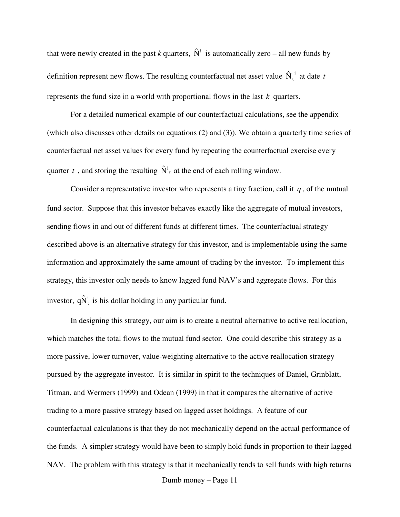that were newly created in the past *k* quarters,  $\hat{N}^i$  is automatically zero – all new funds by definition represent new flows. The resulting counterfactual net asset value  $\hat{N}_t^i$  at date *t* represents the fund size in a world with proportional flows in the last *k* quarters.

For a detailed numerical example of our counterfactual calculations, see the appendix (which also discusses other details on equations (2) and (3)). We obtain a quarterly time series of counterfactual net asset values for every fund by repeating the counterfactual exercise every quarter *t*, and storing the resulting  $\hat{N}^i$  at the end of each rolling window.

Consider a representative investor who represents a tiny fraction, call it *q* , of the mutual fund sector. Suppose that this investor behaves exactly like the aggregate of mutual investors, sending flows in and out of different funds at different times. The counterfactual strategy described above is an alternative strategy for this investor, and is implementable using the same information and approximately the same amount of trading by the investor. To implement this strategy, this investor only needs to know lagged fund NAV's and aggregate flows. For this investor,  $q\hat{N}_{t}^{i}$  is his dollar holding in any particular fund.

In designing this strategy, our aim is to create a neutral alternative to active reallocation, which matches the total flows to the mutual fund sector. One could describe this strategy as a more passive, lower turnover, value-weighting alternative to the active reallocation strategy pursued by the aggregate investor. It is similar in spirit to the techniques of Daniel, Grinblatt, Titman, and Wermers (1999) and Odean (1999) in that it compares the alternative of active trading to a more passive strategy based on lagged asset holdings. A feature of our counterfactual calculations is that they do not mechanically depend on the actual performance of the funds. A simpler strategy would have been to simply hold funds in proportion to their lagged NAV. The problem with this strategy is that it mechanically tends to sell funds with high returns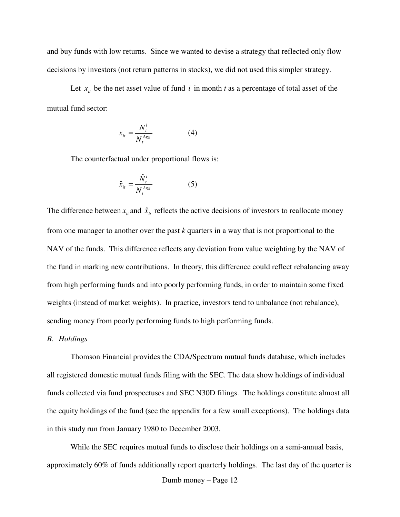and buy funds with low returns. Since we wanted to devise a strategy that reflected only flow decisions by investors (not return patterns in stocks), we did not used this simpler strategy.

Let  $x_{it}$  be the net asset value of fund *i* in month *t* as a percentage of total asset of the mutual fund sector:

$$
x_{it} = \frac{N_t^i}{N_t^{Agg}} \tag{4}
$$

The counterfactual under proportional flows is:

$$
\hat{x}_{it} = \frac{\hat{N}_t^i}{N_t^{Agg}} \tag{5}
$$

The difference between  $x_i$  and  $\hat{x}_i$  reflects the active decisions of investors to reallocate money from one manager to another over the past *k* quarters in a way that is not proportional to the NAV of the funds. This difference reflects any deviation from value weighting by the NAV of the fund in marking new contributions. In theory, this difference could reflect rebalancing away from high performing funds and into poorly performing funds, in order to maintain some fixed weights (instead of market weights). In practice, investors tend to unbalance (not rebalance), sending money from poorly performing funds to high performing funds.

#### *B. Holdings*

Thomson Financial provides the CDA/Spectrum mutual funds database, which includes all registered domestic mutual funds filing with the SEC. The data show holdings of individual funds collected via fund prospectuses and SEC N30D filings. The holdings constitute almost all the equity holdings of the fund (see the appendix for a few small exceptions). The holdings data in this study run from January 1980 to December 2003.

While the SEC requires mutual funds to disclose their holdings on a semi-annual basis, approximately 60% of funds additionally report quarterly holdings. The last day of the quarter is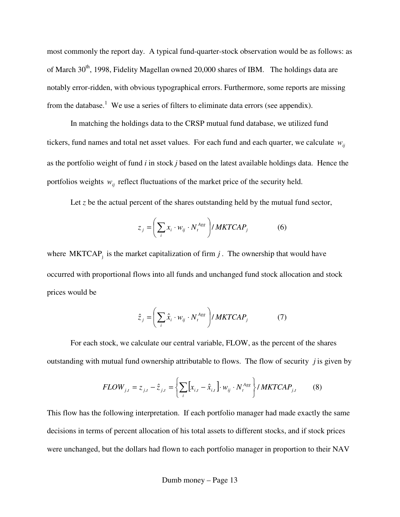most commonly the report day. A typical fund-quarter-stock observation would be as follows: as of March 30<sup>th</sup>, 1998, Fidelity Magellan owned 20,000 shares of IBM. The holdings data are notably error-ridden, with obvious typographical errors. Furthermore, some reports are missing from the database.<sup>1</sup> We use a series of filters to eliminate data errors (see appendix).

In matching the holdings data to the CRSP mutual fund database, we utilized fund tickers, fund names and total net asset values. For each fund and each quarter, we calculate  $w_{ij}$ as the portfolio weight of fund *i* in stock *j* based on the latest available holdings data. Hence the portfolios weights  $w_{ij}$  reflect fluctuations of the market price of the security held.

Let  $z$  be the actual percent of the shares outstanding held by the mutual fund sector,

$$
z_j = \left(\sum_i x_i \cdot w_{ij} \cdot N_i^{Agg}\right) / MKTCAP_j \tag{6}
$$

where  $MKTCAP<sub>j</sub>$  is the market capitalization of firm  $j$ . The ownership that would have occurred with proportional flows into all funds and unchanged fund stock allocation and stock prices would be

$$
\hat{z}_j = \left(\sum_i \hat{x}_i \cdot w_{ij} \cdot N_t^{Agg}\right) / MKTCAP_j \tag{7}
$$

For each stock, we calculate our central variable, FLOW, as the percent of the shares outstanding with mutual fund ownership attributable to flows. The flow of security *j* is given by

$$
FLOW_{j,t} = z_{j,t} - \hat{z}_{j,t} = \left\{ \sum_{i} \left[ x_{i,t} - \hat{x}_{i,t} \right] \cdot w_{ij} \cdot N_t^{Agg} \right\} / MKTCAP_{j,t} \tag{8}
$$

This flow has the following interpretation. If each portfolio manager had made exactly the same decisions in terms of percent allocation of his total assets to different stocks, and if stock prices were unchanged, but the dollars had flown to each portfolio manager in proportion to their NAV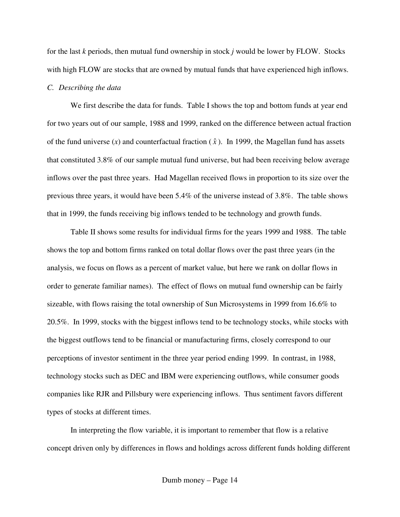for the last *k* periods, then mutual fund ownership in stock *j* would be lower by FLOW. Stocks with high FLOW are stocks that are owned by mutual funds that have experienced high inflows.

#### *C. Describing the data*

We first describe the data for funds. Table I shows the top and bottom funds at year end for two years out of our sample, 1988 and 1999, ranked on the difference between actual fraction of the fund universe  $(x)$  and counterfactual fraction  $(\hat{x})$ . In 1999, the Magellan fund has assets that constituted 3.8% of our sample mutual fund universe, but had been receiving below average inflows over the past three years. Had Magellan received flows in proportion to its size over the previous three years, it would have been 5.4% of the universe instead of 3.8%. The table shows that in 1999, the funds receiving big inflows tended to be technology and growth funds.

Table II shows some results for individual firms for the years 1999 and 1988. The table shows the top and bottom firms ranked on total dollar flows over the past three years (in the analysis, we focus on flows as a percent of market value, but here we rank on dollar flows in order to generate familiar names). The effect of flows on mutual fund ownership can be fairly sizeable, with flows raising the total ownership of Sun Microsystems in 1999 from 16.6% to 20.5%. In 1999, stocks with the biggest inflows tend to be technology stocks, while stocks with the biggest outflows tend to be financial or manufacturing firms, closely correspond to our perceptions of investor sentiment in the three year period ending 1999. In contrast, in 1988, technology stocks such as DEC and IBM were experiencing outflows, while consumer goods companies like RJR and Pillsbury were experiencing inflows. Thus sentiment favors different types of stocks at different times.

In interpreting the flow variable, it is important to remember that flow is a relative concept driven only by differences in flows and holdings across different funds holding different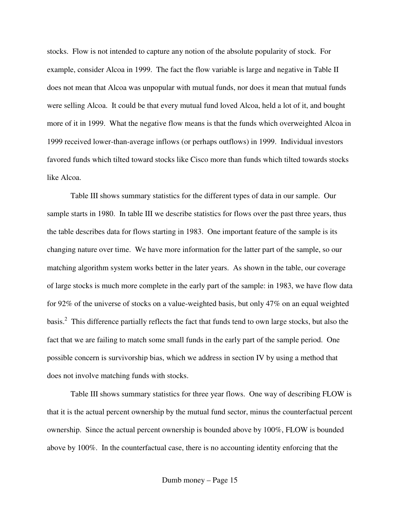stocks. Flow is not intended to capture any notion of the absolute popularity of stock. For example, consider Alcoa in 1999. The fact the flow variable is large and negative in Table II does not mean that Alcoa was unpopular with mutual funds, nor does it mean that mutual funds were selling Alcoa. It could be that every mutual fund loved Alcoa, held a lot of it, and bought more of it in 1999. What the negative flow means is that the funds which overweighted Alcoa in 1999 received lower-than-average inflows (or perhaps outflows) in 1999. Individual investors favored funds which tilted toward stocks like Cisco more than funds which tilted towards stocks like Alcoa.

Table III shows summary statistics for the different types of data in our sample. Our sample starts in 1980. In table III we describe statistics for flows over the past three years, thus the table describes data for flows starting in 1983. One important feature of the sample is its changing nature over time. We have more information for the latter part of the sample, so our matching algorithm system works better in the later years. As shown in the table, our coverage of large stocks is much more complete in the early part of the sample: in 1983, we have flow data for 92% of the universe of stocks on a value-weighted basis, but only 47% on an equal weighted basis.<sup>2</sup> This difference partially reflects the fact that funds tend to own large stocks, but also the fact that we are failing to match some small funds in the early part of the sample period. One possible concern is survivorship bias, which we address in section IV by using a method that does not involve matching funds with stocks.

Table III shows summary statistics for three year flows. One way of describing FLOW is that it is the actual percent ownership by the mutual fund sector, minus the counterfactual percent ownership. Since the actual percent ownership is bounded above by 100%, FLOW is bounded above by 100%. In the counterfactual case, there is no accounting identity enforcing that the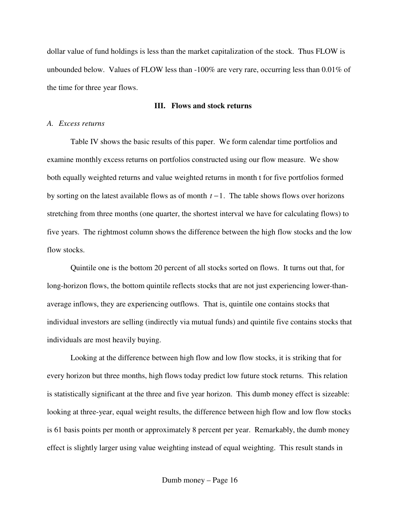dollar value of fund holdings is less than the market capitalization of the stock. Thus FLOW is unbounded below. Values of FLOW less than -100% are very rare, occurring less than 0.01% of the time for three year flows.

## **III. Flows and stock returns**

#### *A. Excess returns*

Table IV shows the basic results of this paper. We form calendar time portfolios and examine monthly excess returns on portfolios constructed using our flow measure. We show both equally weighted returns and value weighted returns in month t for five portfolios formed by sorting on the latest available flows as of month *t* −1. The table shows flows over horizons stretching from three months (one quarter, the shortest interval we have for calculating flows) to five years. The rightmost column shows the difference between the high flow stocks and the low flow stocks.

Quintile one is the bottom 20 percent of all stocks sorted on flows. It turns out that, for long-horizon flows, the bottom quintile reflects stocks that are not just experiencing lower-thanaverage inflows, they are experiencing outflows. That is, quintile one contains stocks that individual investors are selling (indirectly via mutual funds) and quintile five contains stocks that individuals are most heavily buying.

Looking at the difference between high flow and low flow stocks, it is striking that for every horizon but three months, high flows today predict low future stock returns. This relation is statistically significant at the three and five year horizon. This dumb money effect is sizeable: looking at three-year, equal weight results, the difference between high flow and low flow stocks is 61 basis points per month or approximately 8 percent per year. Remarkably, the dumb money effect is slightly larger using value weighting instead of equal weighting. This result stands in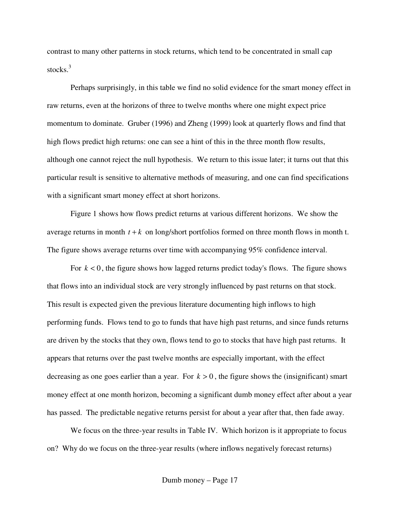contrast to many other patterns in stock returns, which tend to be concentrated in small cap stocks. 3

Perhaps surprisingly, in this table we find no solid evidence for the smart money effect in raw returns, even at the horizons of three to twelve months where one might expect price momentum to dominate. Gruber (1996) and Zheng (1999) look at quarterly flows and find that high flows predict high returns: one can see a hint of this in the three month flow results, although one cannot reject the null hypothesis. We return to this issue later; it turns out that this particular result is sensitive to alternative methods of measuring, and one can find specifications with a significant smart money effect at short horizons.

Figure 1 shows how flows predict returns at various different horizons. We show the average returns in month  $t + k$  on long/short portfolios formed on three month flows in month t. The figure shows average returns over time with accompanying 95% confidence interval.

For  $k < 0$ , the figure shows how lagged returns predict today's flows. The figure shows that flows into an individual stock are very strongly influenced by past returns on that stock. This result is expected given the previous literature documenting high inflows to high performing funds. Flows tend to go to funds that have high past returns, and since funds returns are driven by the stocks that they own, flows tend to go to stocks that have high past returns. It appears that returns over the past twelve months are especially important, with the effect decreasing as one goes earlier than a year. For  $k > 0$ , the figure shows the (insignificant) smart money effect at one month horizon, becoming a significant dumb money effect after about a year has passed. The predictable negative returns persist for about a year after that, then fade away.

We focus on the three-year results in Table IV. Which horizon is it appropriate to focus on? Why do we focus on the three-year results (where inflows negatively forecast returns)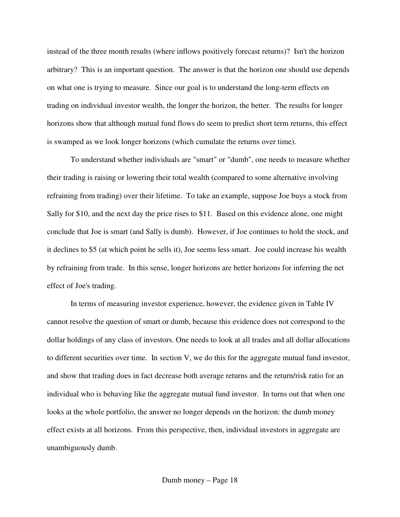instead of the three month results (where inflows positively forecast returns)? Isn't the horizon arbitrary? This is an important question. The answer is that the horizon one should use depends on what one is trying to measure. Since our goal is to understand the long-term effects on trading on individual investor wealth, the longer the horizon, the better. The results for longer horizons show that although mutual fund flows do seem to predict short term returns, this effect is swamped as we look longer horizons (which cumulate the returns over time).

To understand whether individuals are "smart" or "dumb", one needs to measure whether their trading is raising or lowering their total wealth (compared to some alternative involving refraining from trading) over their lifetime. To take an example, suppose Joe buys a stock from Sally for \$10, and the next day the price rises to \$11. Based on this evidence alone, one might conclude that Joe is smart (and Sally is dumb). However, if Joe continues to hold the stock, and it declines to \$5 (at which point he sells it), Joe seems less smart. Joe could increase his wealth by refraining from trade. In this sense, longer horizons are better horizons for inferring the net effect of Joe's trading.

In terms of measuring investor experience, however, the evidence given in Table IV cannot resolve the question of smart or dumb, because this evidence does not correspond to the dollar holdings of any class of investors. One needs to look at all trades and all dollar allocations to different securities over time. In section V, we do this for the aggregate mutual fund investor, and show that trading does in fact decrease both average returns and the return/risk ratio for an individual who is behaving like the aggregate mutual fund investor. In turns out that when one looks at the whole portfolio, the answer no longer depends on the horizon: the dumb money effect exists at all horizons. From this perspective, then, individual investors in aggregate are unambiguously dumb.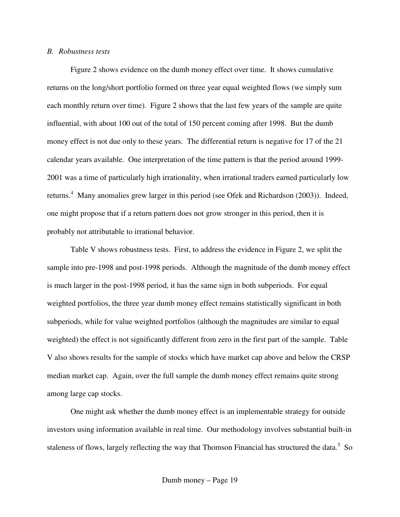#### *B. Robustness tests*

Figure 2 shows evidence on the dumb money effect over time. It shows cumulative returns on the long/short portfolio formed on three year equal weighted flows (we simply sum each monthly return over time). Figure 2 shows that the last few years of the sample are quite influential, with about 100 out of the total of 150 percent coming after 1998. But the dumb money effect is not due only to these years. The differential return is negative for 17 of the 21 calendar years available. One interpretation of the time pattern is that the period around 1999- 2001 was a time of particularly high irrationality, when irrational traders earned particularly low returns.<sup>4</sup> Many anomalies grew larger in this period (see Ofek and Richardson (2003)). Indeed, one might propose that if a return pattern does not grow stronger in this period, then it is probably not attributable to irrational behavior.

Table V shows robustness tests. First, to address the evidence in Figure 2, we split the sample into pre-1998 and post-1998 periods. Although the magnitude of the dumb money effect is much larger in the post-1998 period, it has the same sign in both subperiods. For equal weighted portfolios, the three year dumb money effect remains statistically significant in both subperiods, while for value weighted portfolios (although the magnitudes are similar to equal weighted) the effect is not significantly different from zero in the first part of the sample. Table V also shows results for the sample of stocks which have market cap above and below the CRSP median market cap. Again, over the full sample the dumb money effect remains quite strong among large cap stocks.

One might ask whether the dumb money effect is an implementable strategy for outside investors using information available in real time. Our methodology involves substantial built-in staleness of flows, largely reflecting the way that Thomson Financial has structured the data.<sup>5</sup> So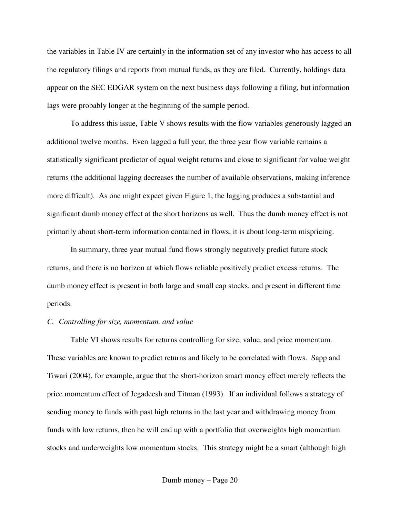the variables in Table IV are certainly in the information set of any investor who has access to all the regulatory filings and reports from mutual funds, as they are filed. Currently, holdings data appear on the SEC EDGAR system on the next business days following a filing, but information lags were probably longer at the beginning of the sample period.

To address this issue, Table V shows results with the flow variables generously lagged an additional twelve months. Even lagged a full year, the three year flow variable remains a statistically significant predictor of equal weight returns and close to significant for value weight returns (the additional lagging decreases the number of available observations, making inference more difficult). As one might expect given Figure 1, the lagging produces a substantial and significant dumb money effect at the short horizons as well. Thus the dumb money effect is not primarily about short-term information contained in flows, it is about long-term mispricing.

In summary, three year mutual fund flows strongly negatively predict future stock returns, and there is no horizon at which flows reliable positively predict excess returns. The dumb money effect is present in both large and small cap stocks, and present in different time periods.

## *C. Controlling for size, momentum, and value*

Table VI shows results for returns controlling for size, value, and price momentum. These variables are known to predict returns and likely to be correlated with flows. Sapp and Tiwari (2004), for example, argue that the short-horizon smart money effect merely reflects the price momentum effect of Jegadeesh and Titman (1993). If an individual follows a strategy of sending money to funds with past high returns in the last year and withdrawing money from funds with low returns, then he will end up with a portfolio that overweights high momentum stocks and underweights low momentum stocks. This strategy might be a smart (although high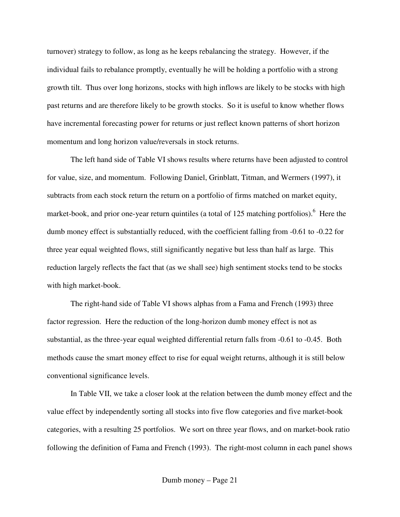turnover) strategy to follow, as long as he keeps rebalancing the strategy. However, if the individual fails to rebalance promptly, eventually he will be holding a portfolio with a strong growth tilt. Thus over long horizons, stocks with high inflows are likely to be stocks with high past returns and are therefore likely to be growth stocks. So it is useful to know whether flows have incremental forecasting power for returns or just reflect known patterns of short horizon momentum and long horizon value/reversals in stock returns.

The left hand side of Table VI shows results where returns have been adjusted to control for value, size, and momentum. Following Daniel, Grinblatt, Titman, and Wermers (1997), it subtracts from each stock return the return on a portfolio of firms matched on market equity, market-book, and prior one-year return quintiles (a total of 125 matching portfolios).<sup>6</sup> Here the dumb money effect is substantially reduced, with the coefficient falling from -0.61 to -0.22 for three year equal weighted flows, still significantly negative but less than half as large. This reduction largely reflects the fact that (as we shall see) high sentiment stocks tend to be stocks with high market-book.

The right-hand side of Table VI shows alphas from a Fama and French (1993) three factor regression. Here the reduction of the long-horizon dumb money effect is not as substantial, as the three-year equal weighted differential return falls from -0.61 to -0.45. Both methods cause the smart money effect to rise for equal weight returns, although it is still below conventional significance levels.

In Table VII, we take a closer look at the relation between the dumb money effect and the value effect by independently sorting all stocks into five flow categories and five market-book categories, with a resulting 25 portfolios. We sort on three year flows, and on market-book ratio following the definition of Fama and French (1993). The right-most column in each panel shows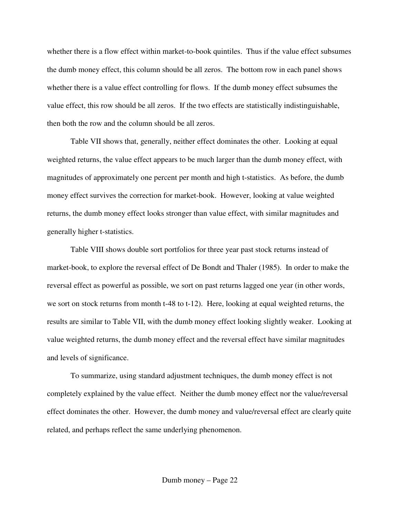whether there is a flow effect within market-to-book quintiles. Thus if the value effect subsumes the dumb money effect, this column should be all zeros. The bottom row in each panel shows whether there is a value effect controlling for flows. If the dumb money effect subsumes the value effect, this row should be all zeros. If the two effects are statistically indistinguishable, then both the row and the column should be all zeros.

Table VII shows that, generally, neither effect dominates the other. Looking at equal weighted returns, the value effect appears to be much larger than the dumb money effect, with magnitudes of approximately one percent per month and high t-statistics. As before, the dumb money effect survives the correction for market-book. However, looking at value weighted returns, the dumb money effect looks stronger than value effect, with similar magnitudes and generally higher t-statistics.

Table VIII shows double sort portfolios for three year past stock returns instead of market-book, to explore the reversal effect of De Bondt and Thaler (1985). In order to make the reversal effect as powerful as possible, we sort on past returns lagged one year (in other words, we sort on stock returns from month t-48 to t-12). Here, looking at equal weighted returns, the results are similar to Table VII, with the dumb money effect looking slightly weaker. Looking at value weighted returns, the dumb money effect and the reversal effect have similar magnitudes and levels of significance.

To summarize, using standard adjustment techniques, the dumb money effect is not completely explained by the value effect. Neither the dumb money effect nor the value/reversal effect dominates the other. However, the dumb money and value/reversal effect are clearly quite related, and perhaps reflect the same underlying phenomenon.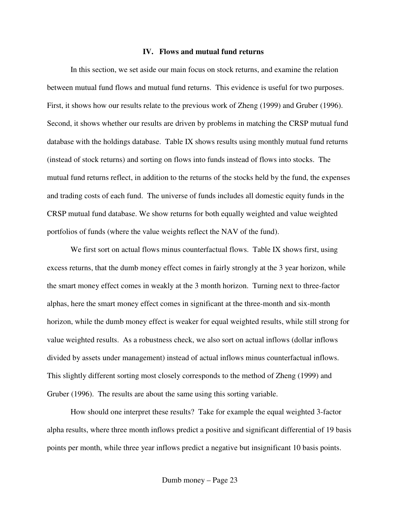#### **IV. Flows and mutual fund returns**

In this section, we set aside our main focus on stock returns, and examine the relation between mutual fund flows and mutual fund returns. This evidence is useful for two purposes. First, it shows how our results relate to the previous work of Zheng (1999) and Gruber (1996). Second, it shows whether our results are driven by problems in matching the CRSP mutual fund database with the holdings database. Table IX shows results using monthly mutual fund returns (instead of stock returns) and sorting on flows into funds instead of flows into stocks. The mutual fund returns reflect, in addition to the returns of the stocks held by the fund, the expenses and trading costs of each fund. The universe of funds includes all domestic equity funds in the CRSP mutual fund database. We show returns for both equally weighted and value weighted portfolios of funds (where the value weights reflect the NAV of the fund).

We first sort on actual flows minus counterfactual flows. Table IX shows first, using excess returns, that the dumb money effect comes in fairly strongly at the 3 year horizon, while the smart money effect comes in weakly at the 3 month horizon. Turning next to three-factor alphas, here the smart money effect comes in significant at the three-month and six-month horizon, while the dumb money effect is weaker for equal weighted results, while still strong for value weighted results. As a robustness check, we also sort on actual inflows (dollar inflows divided by assets under management) instead of actual inflows minus counterfactual inflows. This slightly different sorting most closely corresponds to the method of Zheng (1999) and Gruber (1996). The results are about the same using this sorting variable.

How should one interpret these results? Take for example the equal weighted 3-factor alpha results, where three month inflows predict a positive and significant differential of 19 basis points per month, while three year inflows predict a negative but insignificant 10 basis points.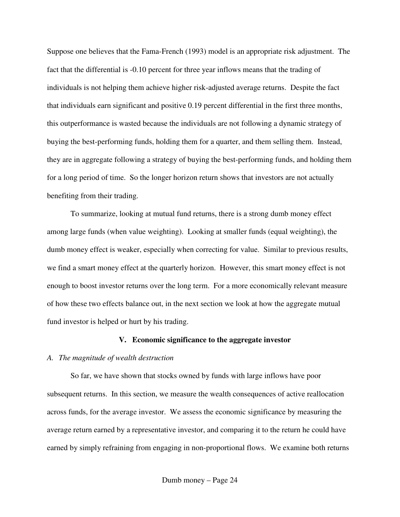Suppose one believes that the Fama-French (1993) model is an appropriate risk adjustment. The fact that the differential is -0.10 percent for three year inflows means that the trading of individuals is not helping them achieve higher risk-adjusted average returns. Despite the fact that individuals earn significant and positive 0.19 percent differential in the first three months, this outperformance is wasted because the individuals are not following a dynamic strategy of buying the best-performing funds, holding them for a quarter, and them selling them. Instead, they are in aggregate following a strategy of buying the best-performing funds, and holding them for a long period of time. So the longer horizon return shows that investors are not actually benefiting from their trading.

To summarize, looking at mutual fund returns, there is a strong dumb money effect among large funds (when value weighting). Looking at smaller funds (equal weighting), the dumb money effect is weaker, especially when correcting for value. Similar to previous results, we find a smart money effect at the quarterly horizon. However, this smart money effect is not enough to boost investor returns over the long term. For a more economically relevant measure of how these two effects balance out, in the next section we look at how the aggregate mutual fund investor is helped or hurt by his trading.

## **V. Economic significance to the aggregate investor**

#### *A. The magnitude of wealth destruction*

So far, we have shown that stocks owned by funds with large inflows have poor subsequent returns. In this section, we measure the wealth consequences of active reallocation across funds, for the average investor. We assess the economic significance by measuring the average return earned by a representative investor, and comparing it to the return he could have earned by simply refraining from engaging in non-proportional flows. We examine both returns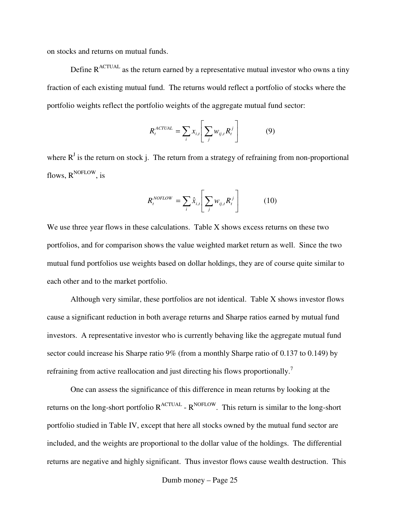on stocks and returns on mutual funds.

Define  $R^{ACTUAL}$  as the return earned by a representative mutual investor who owns a tiny fraction of each existing mutual fund. The returns would reflect a portfolio of stocks where the portfolio weights reflect the portfolio weights of the aggregate mutual fund sector:

$$
R_t^{ACTUAL} = \sum_i x_{i,t} \left[ \sum_j w_{ij,t} R_t^j \right]
$$
 (9)

where  $R<sup>J</sup>$  is the return on stock j. The return from a strategy of refraining from non-proportional flows, R<sup>NOFLOW</sup>, is

$$
R_t^{NOFLOW} = \sum_i \hat{x}_{i,t} \left[ \sum_j w_{ij,t} R_t^j \right] \tag{10}
$$

We use three year flows in these calculations. Table X shows excess returns on these two portfolios, and for comparison shows the value weighted market return as well. Since the two mutual fund portfolios use weights based on dollar holdings, they are of course quite similar to each other and to the market portfolio.

Although very similar, these portfolios are not identical. Table X shows investor flows cause a significant reduction in both average returns and Sharpe ratios earned by mutual fund investors. A representative investor who is currently behaving like the aggregate mutual fund sector could increase his Sharpe ratio 9% (from a monthly Sharpe ratio of 0.137 to 0.149) by refraining from active reallocation and just directing his flows proportionally.<sup>7</sup>

One can assess the significance of this difference in mean returns by looking at the returns on the long-short portfolio R<sup>ACTUAL</sup> - R<sup>NOFLOW</sup>. This return is similar to the long-short portfolio studied in Table IV, except that here all stocks owned by the mutual fund sector are included, and the weights are proportional to the dollar value of the holdings. The differential returns are negative and highly significant. Thus investor flows cause wealth destruction. This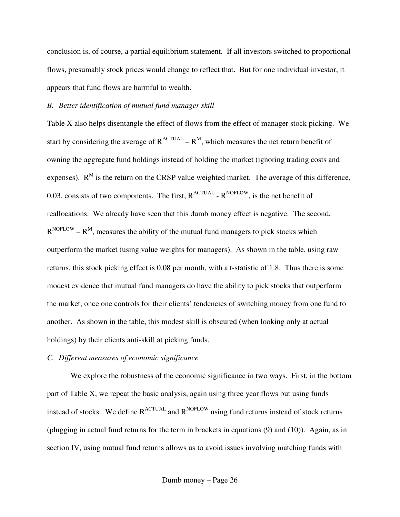conclusion is, of course, a partial equilibrium statement. If all investors switched to proportional flows, presumably stock prices would change to reflect that. But for one individual investor, it appears that fund flows are harmful to wealth.

## *B. Better identification of mutual fund manager skill*

Table X also helps disentangle the effect of flows from the effect of manager stock picking. We start by considering the average of  $R^{ACTUAL} - R^M$ , which measures the net return benefit of owning the aggregate fund holdings instead of holding the market (ignoring trading costs and expenses).  $R^{M}$  is the return on the CRSP value weighted market. The average of this difference, 0.03, consists of two components. The first,  $R^{ACTUAL}$  -  $R^{NOFLOW}$ , is the net benefit of reallocations. We already have seen that this dumb money effect is negative. The second,  $R^{NOFLOW} - R^{M}$ , measures the ability of the mutual fund managers to pick stocks which outperform the market (using value weights for managers). As shown in the table, using raw returns, this stock picking effect is 0.08 per month, with a t-statistic of 1.8. Thus there is some modest evidence that mutual fund managers do have the ability to pick stocks that outperform the market, once one controls for their clients' tendencies of switching money from one fund to another. As shown in the table, this modest skill is obscured (when looking only at actual holdings) by their clients anti-skill at picking funds.

## *C. Different measures of economic significance*

We explore the robustness of the economic significance in two ways. First, in the bottom part of Table X, we repeat the basic analysis, again using three year flows but using funds instead of stocks. We define  $R^{ACTUAL}$  and  $R^{NOFLOW}$  using fund returns instead of stock returns (plugging in actual fund returns for the term in brackets in equations (9) and (10)). Again, as in section IV, using mutual fund returns allows us to avoid issues involving matching funds with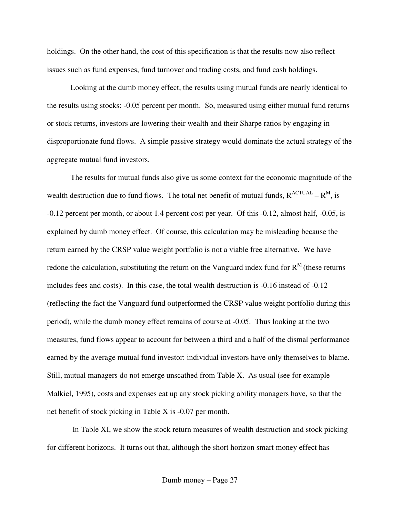holdings. On the other hand, the cost of this specification is that the results now also reflect issues such as fund expenses, fund turnover and trading costs, and fund cash holdings.

Looking at the dumb money effect, the results using mutual funds are nearly identical to the results using stocks: -0.05 percent per month. So, measured using either mutual fund returns or stock returns, investors are lowering their wealth and their Sharpe ratios by engaging in disproportionate fund flows. A simple passive strategy would dominate the actual strategy of the aggregate mutual fund investors.

The results for mutual funds also give us some context for the economic magnitude of the wealth destruction due to fund flows. The total net benefit of mutual funds,  $R^{ACTUAL} - R^M$ , is -0.12 percent per month, or about 1.4 percent cost per year. Of this -0.12, almost half, -0.05, is explained by dumb money effect. Of course, this calculation may be misleading because the return earned by the CRSP value weight portfolio is not a viable free alternative. We have redone the calculation, substituting the return on the Vanguard index fund for  $R<sup>M</sup>$  (these returns includes fees and costs). In this case, the total wealth destruction is -0.16 instead of -0.12 (reflecting the fact the Vanguard fund outperformed the CRSP value weight portfolio during this period), while the dumb money effect remains of course at -0.05. Thus looking at the two measures, fund flows appear to account for between a third and a half of the dismal performance earned by the average mutual fund investor: individual investors have only themselves to blame. Still, mutual managers do not emerge unscathed from Table X. As usual (see for example Malkiel, 1995), costs and expenses eat up any stock picking ability managers have, so that the net benefit of stock picking in Table X is -0.07 per month.

In Table XI, we show the stock return measures of wealth destruction and stock picking for different horizons. It turns out that, although the short horizon smart money effect has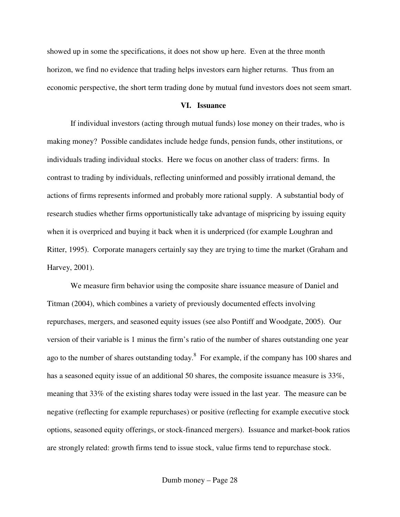showed up in some the specifications, it does not show up here. Even at the three month horizon, we find no evidence that trading helps investors earn higher returns. Thus from an economic perspective, the short term trading done by mutual fund investors does not seem smart.

#### **VI. Issuance**

If individual investors (acting through mutual funds) lose money on their trades, who is making money? Possible candidates include hedge funds, pension funds, other institutions, or individuals trading individual stocks. Here we focus on another class of traders: firms. In contrast to trading by individuals, reflecting uninformed and possibly irrational demand, the actions of firms represents informed and probably more rational supply. A substantial body of research studies whether firms opportunistically take advantage of mispricing by issuing equity when it is overpriced and buying it back when it is underpriced (for example Loughran and Ritter, 1995). Corporate managers certainly say they are trying to time the market (Graham and Harvey, 2001).

We measure firm behavior using the composite share issuance measure of Daniel and Titman (2004), which combines a variety of previously documented effects involving repurchases, mergers, and seasoned equity issues (see also Pontiff and Woodgate, 2005). Our version of their variable is 1 minus the firm's ratio of the number of shares outstanding one year ago to the number of shares outstanding today.<sup>8</sup> For example, if the company has 100 shares and has a seasoned equity issue of an additional 50 shares, the composite issuance measure is 33%, meaning that 33% of the existing shares today were issued in the last year. The measure can be negative (reflecting for example repurchases) or positive (reflecting for example executive stock options, seasoned equity offerings, or stock-financed mergers). Issuance and market-book ratios are strongly related: growth firms tend to issue stock, value firms tend to repurchase stock.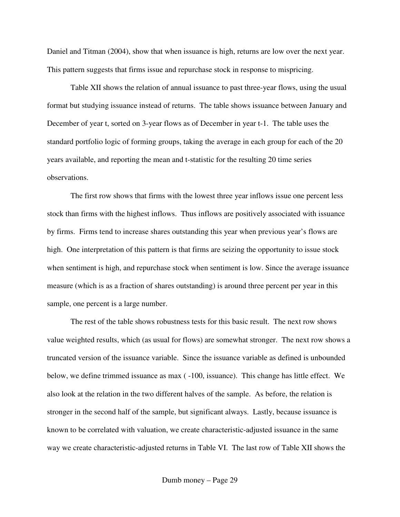Daniel and Titman (2004), show that when issuance is high, returns are low over the next year. This pattern suggests that firms issue and repurchase stock in response to mispricing.

Table XII shows the relation of annual issuance to past three-year flows, using the usual format but studying issuance instead of returns. The table shows issuance between January and December of year t, sorted on 3-year flows as of December in year t-1. The table uses the standard portfolio logic of forming groups, taking the average in each group for each of the 20 years available, and reporting the mean and t-statistic for the resulting 20 time series observations.

The first row shows that firms with the lowest three year inflows issue one percent less stock than firms with the highest inflows. Thus inflows are positively associated with issuance by firms. Firms tend to increase shares outstanding this year when previous year's flows are high. One interpretation of this pattern is that firms are seizing the opportunity to issue stock when sentiment is high, and repurchase stock when sentiment is low. Since the average issuance measure (which is as a fraction of shares outstanding) is around three percent per year in this sample, one percent is a large number.

The rest of the table shows robustness tests for this basic result. The next row shows value weighted results, which (as usual for flows) are somewhat stronger. The next row shows a truncated version of the issuance variable. Since the issuance variable as defined is unbounded below, we define trimmed issuance as max ( -100, issuance). This change has little effect. We also look at the relation in the two different halves of the sample. As before, the relation is stronger in the second half of the sample, but significant always. Lastly, because issuance is known to be correlated with valuation, we create characteristic-adjusted issuance in the same way we create characteristic-adjusted returns in Table VI. The last row of Table XII shows the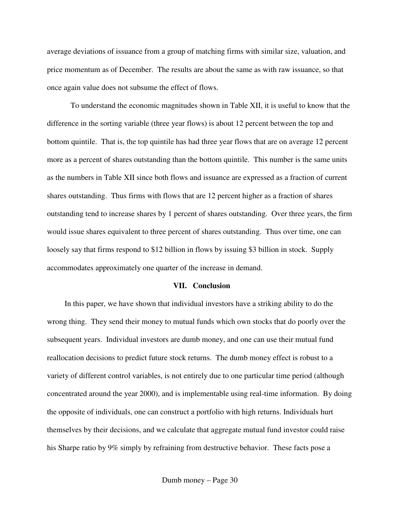average deviations of issuance from a group of matching firms with similar size, valuation, and price momentum as of December. The results are about the same as with raw issuance, so that once again value does not subsume the effect of flows.

To understand the economic magnitudes shown in Table XII, it is useful to know that the difference in the sorting variable (three year flows) is about 12 percent between the top and bottom quintile. That is, the top quintile has had three year flows that are on average 12 percent more as a percent of shares outstanding than the bottom quintile. This number is the same units as the numbers in Table XII since both flows and issuance are expressed as a fraction of current shares outstanding. Thus firms with flows that are 12 percent higher as a fraction of shares outstanding tend to increase shares by 1 percent of shares outstanding. Over three years, the firm would issue shares equivalent to three percent of shares outstanding. Thus over time, one can loosely say that firms respond to \$12 billion in flows by issuing \$3 billion in stock. Supply accommodates approximately one quarter of the increase in demand.

#### **VII. Conclusion**

In this paper, we have shown that individual investors have a striking ability to do the wrong thing. They send their money to mutual funds which own stocks that do poorly over the subsequent years. Individual investors are dumb money, and one can use their mutual fund reallocation decisions to predict future stock returns. The dumb money effect is robust to a variety of different control variables, is not entirely due to one particular time period (although concentrated around the year 2000), and is implementable using real-time information. By doing the opposite of individuals, one can construct a portfolio with high returns. Individuals hurt themselves by their decisions, and we calculate that aggregate mutual fund investor could raise his Sharpe ratio by 9% simply by refraining from destructive behavior. These facts pose a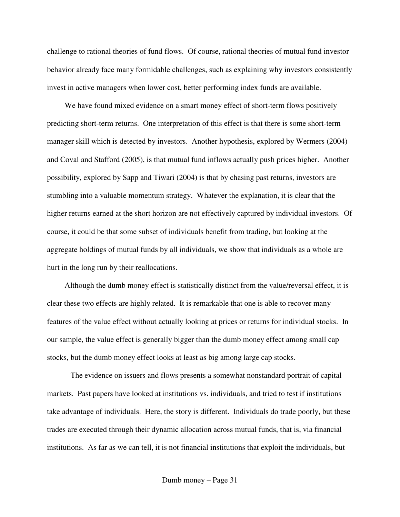challenge to rational theories of fund flows. Of course, rational theories of mutual fund investor behavior already face many formidable challenges, such as explaining why investors consistently invest in active managers when lower cost, better performing index funds are available.

We have found mixed evidence on a smart money effect of short-term flows positively predicting short-term returns. One interpretation of this effect is that there is some short-term manager skill which is detected by investors. Another hypothesis, explored by Wermers (2004) and Coval and Stafford (2005), is that mutual fund inflows actually push prices higher. Another possibility, explored by Sapp and Tiwari (2004) is that by chasing past returns, investors are stumbling into a valuable momentum strategy. Whatever the explanation, it is clear that the higher returns earned at the short horizon are not effectively captured by individual investors. Of course, it could be that some subset of individuals benefit from trading, but looking at the aggregate holdings of mutual funds by all individuals, we show that individuals as a whole are hurt in the long run by their reallocations.

Although the dumb money effect is statistically distinct from the value/reversal effect, it is clear these two effects are highly related. It is remarkable that one is able to recover many features of the value effect without actually looking at prices or returns for individual stocks. In our sample, the value effect is generally bigger than the dumb money effect among small cap stocks, but the dumb money effect looks at least as big among large cap stocks.

The evidence on issuers and flows presents a somewhat nonstandard portrait of capital markets. Past papers have looked at institutions vs. individuals, and tried to test if institutions take advantage of individuals. Here, the story is different. Individuals do trade poorly, but these trades are executed through their dynamic allocation across mutual funds, that is, via financial institutions. As far as we can tell, it is not financial institutions that exploit the individuals, but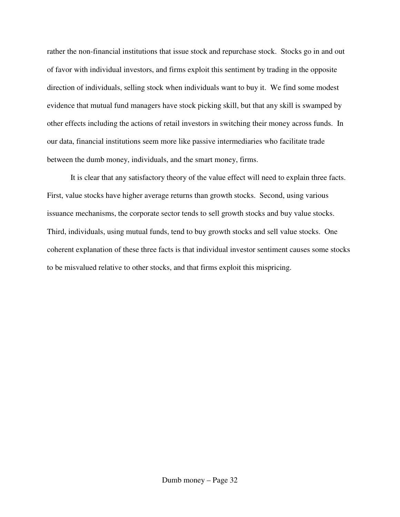rather the non-financial institutions that issue stock and repurchase stock. Stocks go in and out of favor with individual investors, and firms exploit this sentiment by trading in the opposite direction of individuals, selling stock when individuals want to buy it. We find some modest evidence that mutual fund managers have stock picking skill, but that any skill is swamped by other effects including the actions of retail investors in switching their money across funds. In our data, financial institutions seem more like passive intermediaries who facilitate trade between the dumb money, individuals, and the smart money, firms.

It is clear that any satisfactory theory of the value effect will need to explain three facts. First, value stocks have higher average returns than growth stocks. Second, using various issuance mechanisms, the corporate sector tends to sell growth stocks and buy value stocks. Third, individuals, using mutual funds, tend to buy growth stocks and sell value stocks. One coherent explanation of these three facts is that individual investor sentiment causes some stocks to be misvalued relative to other stocks, and that firms exploit this mispricing.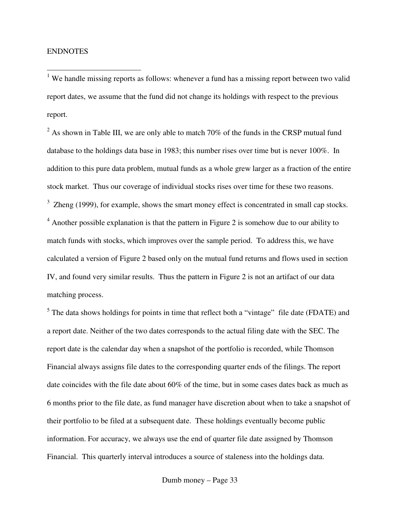## ENDNOTES

<sup>1</sup> We handle missing reports as follows: whenever a fund has a missing report between two valid report dates, we assume that the fund did not change its holdings with respect to the previous report.

 $2$  As shown in Table III, we are only able to match 70% of the funds in the CRSP mutual fund database to the holdings data base in 1983; this number rises over time but is never 100%. In addition to this pure data problem, mutual funds as a whole grew larger as a fraction of the entire stock market. Thus our coverage of individual stocks rises over time for these two reasons.  $3$  Zheng (1999), for example, shows the smart money effect is concentrated in small cap stocks.  $4$  Another possible explanation is that the pattern in Figure 2 is somehow due to our ability to match funds with stocks, which improves over the sample period. To address this, we have calculated a version of Figure 2 based only on the mutual fund returns and flows used in section IV, and found very similar results. Thus the pattern in Figure 2 is not an artifact of our data matching process.

 $<sup>5</sup>$  The data shows holdings for points in time that reflect both a "vintage" file date (FDATE) and</sup> a report date. Neither of the two dates corresponds to the actual filing date with the SEC. The report date is the calendar day when a snapshot of the portfolio is recorded, while Thomson Financial always assigns file dates to the corresponding quarter ends of the filings. The report date coincides with the file date about 60% of the time, but in some cases dates back as much as 6 months prior to the file date, as fund manager have discretion about when to take a snapshot of their portfolio to be filed at a subsequent date. These holdings eventually become public information. For accuracy, we always use the end of quarter file date assigned by Thomson Financial. This quarterly interval introduces a source of staleness into the holdings data.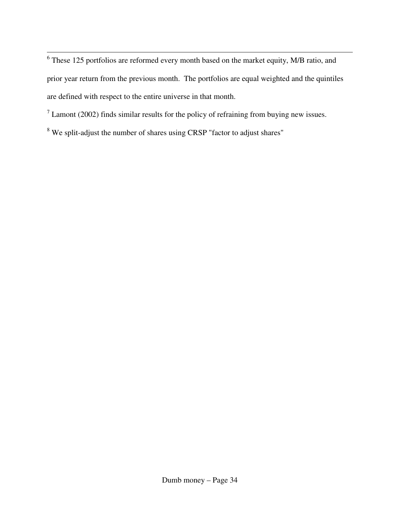<sup>6</sup> These 125 portfolios are reformed every month based on the market equity, M/B ratio, and prior year return from the previous month. The portfolios are equal weighted and the quintiles are defined with respect to the entire universe in that month.

 $<sup>7</sup>$  Lamont (2002) finds similar results for the policy of refraining from buying new issues.</sup>

<sup>8</sup> We split-adjust the number of shares using CRSP "factor to adjust shares"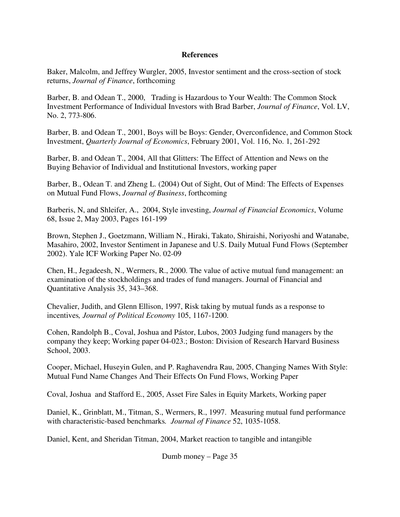## **References**

Baker, Malcolm, and Jeffrey Wurgler, 2005, Investor sentiment and the cross-section of stock returns, *Journal of Finance*, forthcoming

Barber, B. and Odean T., 2000, Trading is Hazardous to Your Wealth: The Common Stock Investment Performance of Individual Investors with Brad Barber, *Journal of Finance*, Vol. LV, No. 2, 773-806.

Barber, B. and Odean T., 2001, Boys will be Boys: Gender, Overconfidence, and Common Stock Investment, *Quarterly Journal of Economics*, February 2001, Vol. 116, No. 1, 261-292

Barber, B. and Odean T., 2004, All that Glitters: The Effect of Attention and News on the Buying Behavior of Individual and Institutional Investors, working paper

Barber, B., Odean T. and Zheng L. (2004) Out of Sight, Out of Mind: The Effects of Expenses on Mutual Fund Flows, *Journal of Business*, forthcoming

Barberis, N, and Shleifer, A., 2004, Style investing, *Journal of Financial Economics*, Volume 68, Issue 2, May 2003, Pages 161-199

Brown, Stephen J., Goetzmann, William N., Hiraki, Takato, Shiraishi, Noriyoshi and Watanabe, Masahiro, 2002, Investor Sentiment in Japanese and U.S. Daily Mutual Fund Flows (September 2002). Yale ICF Working Paper No. 02-09

Chen, H., Jegadeesh, N., Wermers, R., 2000. The value of active mutual fund management: an examination of the stockholdings and trades of fund managers. Journal of Financial and Quantitative Analysis 35, 343–368.

Chevalier, Judith, and Glenn Ellison, 1997, Risk taking by mutual funds as a response to incentives*, Journal of Political Economy* 105, 1167-1200.

Cohen, Randolph B., Coval, Joshua and Pástor, Lubos, 2003 Judging fund managers by the company they keep; Working paper 04-023.; Boston: Division of Research Harvard Business School, 2003.

Cooper, Michael, Huseyin Gulen, and P. Raghavendra Rau, 2005, Changing Names With Style: Mutual Fund Name Changes And Their Effects On Fund Flows, Working Paper

Coval, Joshua and Stafford E., 2005, Asset Fire Sales in Equity Markets, Working paper

Daniel, K., Grinblatt, M., Titman, S., Wermers, R., 1997. Measuring mutual fund performance with characteristic-based benchmarks*. Journal of Finance* 52, 1035-1058.

Daniel, Kent, and Sheridan Titman, 2004, Market reaction to tangible and intangible

Dumb money – Page 35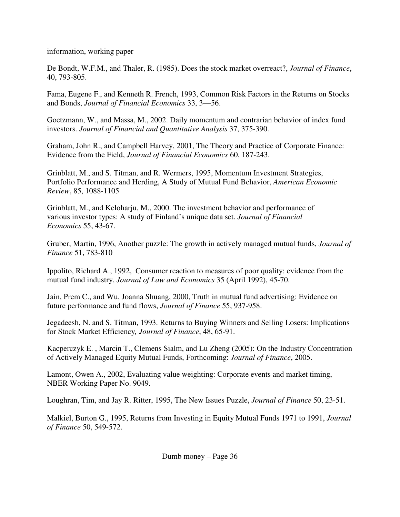information, working paper

De Bondt, W.F.M., and Thaler, R. (1985). Does the stock market overreact?, *Journal of Finance*, 40, 793-805.

Fama, Eugene F., and Kenneth R. French, 1993, Common Risk Factors in the Returns on Stocks and Bonds, *Journal of Financial Economics* 33, 3—56.

Goetzmann, W., and Massa, M., 2002. Daily momentum and contrarian behavior of index fund investors. *Journal of Financial and Quantitative Analysis* 37, 375-390.

Graham, John R., and Campbell Harvey, 2001, The Theory and Practice of Corporate Finance: Evidence from the Field, *Journal of Financial Economics* 60, 187-243.

Grinblatt, M., and S. Titman, and R. Wermers, 1995, Momentum Investment Strategies, Portfolio Performance and Herding, A Study of Mutual Fund Behavior, *American Economic Review*, 85, 1088-1105

Grinblatt, M., and Keloharju, M., 2000. The investment behavior and performance of various investor types: A study of Finland's unique data set. *Journal of Financial Economics* 55, 43-67.

Gruber, Martin, 1996, Another puzzle: The growth in actively managed mutual funds, *Journal of Finance* 51, 783-810

Ippolito, Richard A., 1992, Consumer reaction to measures of poor quality: evidence from the mutual fund industry, *Journal of Law and Economics* 35 (April 1992), 45-70.

Jain, Prem C., and Wu, Joanna Shuang, 2000, Truth in mutual fund advertising: Evidence on future performance and fund flows, *Journal of Finance* 55, 937-958.

Jegadeesh, N. and S. Titman, 1993. Returns to Buying Winners and Selling Losers: Implications for Stock Market Efficiency*, Journal of Finance*, 48, 65-91.

Kacperczyk E. , Marcin T., Clemens Sialm, and Lu Zheng (2005): On the Industry Concentration of Actively Managed Equity Mutual Funds, Forthcoming: *Journal of Finance*, 2005.

Lamont, Owen A., 2002, Evaluating value weighting: Corporate events and market timing, NBER Working Paper No. 9049.

Loughran, Tim, and Jay R. Ritter, 1995, The New Issues Puzzle, *Journal of Finance* 50, 23-51.

Malkiel, Burton G., 1995, Returns from Investing in Equity Mutual Funds 1971 to 1991, *Journal of Finance* 50, 549-572.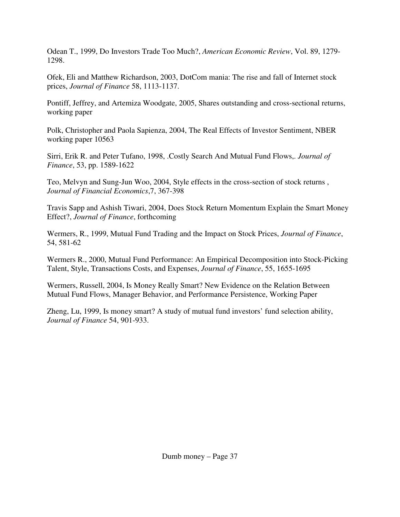Odean T., 1999, Do Investors Trade Too Much?, *American Economic Review*, Vol. 89, 1279- 1298.

Ofek, Eli and Matthew Richardson, 2003, DotCom mania: The rise and fall of Internet stock prices, *Journal of Finance* 58, 1113-1137.

Pontiff, Jeffrey, and Artemiza Woodgate, 2005, Shares outstanding and cross-sectional returns, working paper

Polk, Christopher and Paola Sapienza, 2004, The Real Effects of Investor Sentiment, NBER working paper 10563

Sirri, Erik R. and Peter Tufano, 1998, .Costly Search And Mutual Fund Flows,. *Journal of Finance*, 53, pp. 1589-1622

Teo, Melvyn and Sung-Jun Woo, 2004, Style effects in the cross-section of stock returns , *Journal of Financial Economics*,7, 367-398

Travis Sapp and Ashish Tiwari, 2004, Does Stock Return Momentum Explain the Smart Money Effect?, *Journal of Finance*, forthcoming

Wermers, R., 1999, Mutual Fund Trading and the Impact on Stock Prices, *Journal of Finance*, 54, 581-62

Wermers R., 2000, Mutual Fund Performance: An Empirical Decomposition into Stock-Picking Talent, Style, Transactions Costs, and Expenses, *Journal of Finance*, 55, 1655-1695

Wermers, Russell, 2004, Is Money Really Smart? New Evidence on the Relation Between Mutual Fund Flows, Manager Behavior, and Performance Persistence, Working Paper

Zheng, Lu, 1999, Is money smart? A study of mutual fund investors' fund selection ability, *Journal of Finance* 54, 901-933.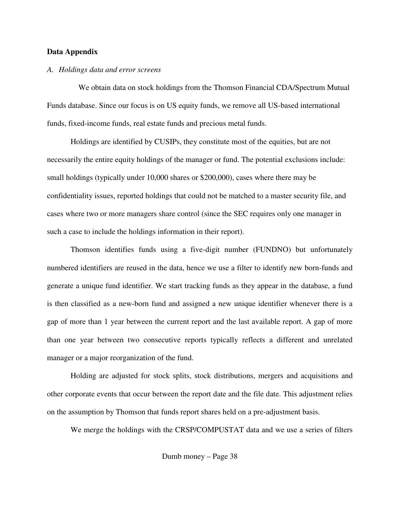## **Data Appendix**

## *A. Holdings data and error screens*

We obtain data on stock holdings from the Thomson Financial CDA/Spectrum Mutual Funds database. Since our focus is on US equity funds, we remove all US-based international funds, fixed-income funds, real estate funds and precious metal funds.

Holdings are identified by CUSIPs, they constitute most of the equities, but are not necessarily the entire equity holdings of the manager or fund. The potential exclusions include: small holdings (typically under 10,000 shares or \$200,000), cases where there may be confidentiality issues, reported holdings that could not be matched to a master security file, and cases where two or more managers share control (since the SEC requires only one manager in such a case to include the holdings information in their report).

Thomson identifies funds using a five-digit number (FUNDNO) but unfortunately numbered identifiers are reused in the data, hence we use a filter to identify new born-funds and generate a unique fund identifier. We start tracking funds as they appear in the database, a fund is then classified as a new-born fund and assigned a new unique identifier whenever there is a gap of more than 1 year between the current report and the last available report. A gap of more than one year between two consecutive reports typically reflects a different and unrelated manager or a major reorganization of the fund.

Holding are adjusted for stock splits, stock distributions, mergers and acquisitions and other corporate events that occur between the report date and the file date. This adjustment relies on the assumption by Thomson that funds report shares held on a pre-adjustment basis.

We merge the holdings with the CRSP/COMPUSTAT data and we use a series of filters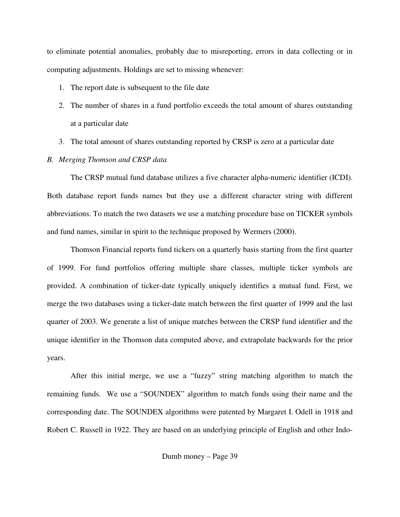to eliminate potential anomalies, probably due to misreporting, errors in data collecting or in computing adjustments. Holdings are set to missing whenever:

- 1. The report date is subsequent to the file date
- 2. The number of shares in a fund portfolio exceeds the total amount of shares outstanding at a particular date
- 3. The total amount of shares outstanding reported by CRSP is zero at a particular date

# *B. Merging Thomson and CRSP data*

The CRSP mutual fund database utilizes a five character alpha-numeric identifier (ICDI). Both database report funds names but they use a different character string with different abbreviations. To match the two datasets we use a matching procedure base on TICKER symbols and fund names, similar in spirit to the technique proposed by Wermers (2000).

Thomson Financial reports fund tickers on a quarterly basis starting from the first quarter of 1999. For fund portfolios offering multiple share classes, multiple ticker symbols are provided. A combination of ticker-date typically uniquely identifies a mutual fund. First, we merge the two databases using a ticker-date match between the first quarter of 1999 and the last quarter of 2003. We generate a list of unique matches between the CRSP fund identifier and the unique identifier in the Thomson data computed above, and extrapolate backwards for the prior years.

After this initial merge, we use a "fuzzy" string matching algorithm to match the remaining funds. We use a "SOUNDEX" algorithm to match funds using their name and the corresponding date. The SOUNDEX algorithms were patented by Margaret I. Odell in 1918 and Robert C. Russell in 1922. They are based on an underlying principle of English and other Indo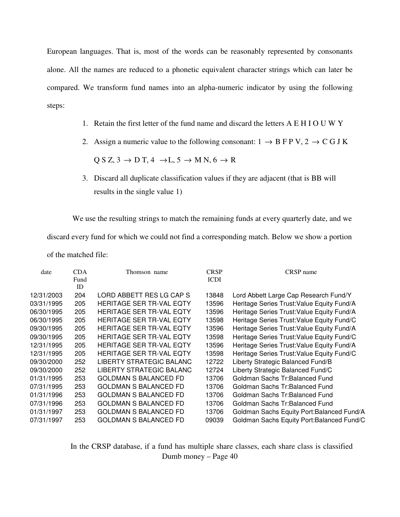European languages. That is, most of the words can be reasonably represented by consonants alone. All the names are reduced to a phonetic equivalent character strings which can later be compared. We transform fund names into an alpha-numeric indicator by using the following steps:

- 1. Retain the first letter of the fund name and discard the letters A E H I O U W Y
- 2. Assign a numeric value to the following consonant:  $1 \rightarrow B \text{ F} \text{ P V}$ ,  $2 \rightarrow C \text{ G J K}$

 $Q S Z$ ,  $3 \rightarrow D T$ ,  $4 \rightarrow L$ ,  $5 \rightarrow M N$ ,  $6 \rightarrow R$ 

3. Discard all duplicate classification values if they are adjacent (that is BB will results in the single value 1)

We use the resulting strings to match the remaining funds at every quarterly date, and we

discard every fund for which we could not find a corresponding match. Below we show a portion

of the matched file:

| date       | <b>CDA</b><br>Fund<br>ID | Thomson name                    | <b>CRSP</b><br>ICDI | CRSP name                                  |
|------------|--------------------------|---------------------------------|---------------------|--------------------------------------------|
| 12/31/2003 | 204                      | LORD ABBETT RES LG CAP S        | 13848               | Lord Abbett Large Cap Research Fund/Y      |
| 03/31/1995 | 205                      | <b>HERITAGE SER TR-VAL EQTY</b> | 13596               | Heritage Series Trust: Value Equity Fund/A |
| 06/30/1995 | 205                      | <b>HERITAGE SER TR-VAL EQTY</b> | 13596               | Heritage Series Trust: Value Equity Fund/A |
| 06/30/1995 | 205                      | HERITAGE SER TR-VAL EQTY        | 13598               | Heritage Series Trust: Value Equity Fund/C |
| 09/30/1995 | 205                      | HERITAGE SER TR-VAL EQTY        | 13596               | Heritage Series Trust: Value Equity Fund/A |
| 09/30/1995 | 205                      | HERITAGE SER TR-VAL EQTY        | 13598               | Heritage Series Trust: Value Equity Fund/C |
| 12/31/1995 | 205                      | <b>HERITAGE SER TR-VAL EQTY</b> | 13596               | Heritage Series Trust: Value Equity Fund/A |
| 12/31/1995 | 205                      | HERITAGE SER TR-VAL EQTY        | 13598               | Heritage Series Trust: Value Equity Fund/C |
| 09/30/2000 | 252                      | LIBERTY STRATEGIC BALANC        | 12722               | Liberty Strategic Balanced Fund/B          |
| 09/30/2000 | 252                      | LIBERTY STRATEGIC BALANC        | 12724               | Liberty Strategic Balanced Fund/C          |
| 01/31/1995 | 253                      | <b>GOLDMAN S BALANCED FD</b>    | 13706               | Goldman Sachs Tr:Balanced Fund             |
| 07/31/1995 | 253                      | GOLDMAN S BALANCED FD           | 13706               | Goldman Sachs Tr:Balanced Fund             |
| 01/31/1996 | 253                      | GOLDMAN S BALANCED FD           | 13706               | Goldman Sachs Tr:Balanced Fund             |
| 07/31/1996 | 253                      | <b>GOLDMAN S BALANCED FD</b>    | 13706               | Goldman Sachs Tr:Balanced Fund             |
| 01/31/1997 | 253                      | <b>GOLDMAN S BALANCED FD</b>    | 13706               | Goldman Sachs Equity Port: Balanced Fund/A |
| 07/31/1997 | 253                      | GOLDMAN S BALANCED FD           | 09039               | Goldman Sachs Equity Port: Balanced Fund/C |

Dumb money – Page 40 In the CRSP database, if a fund has multiple share classes, each share class is classified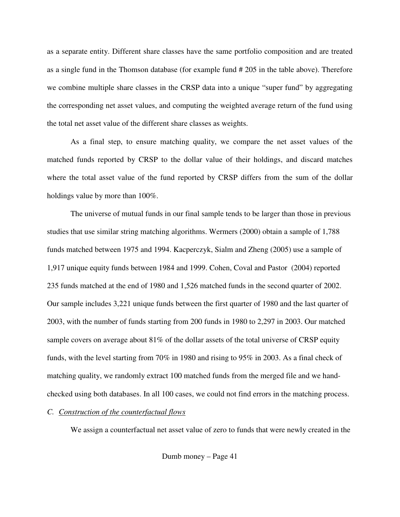as a separate entity. Different share classes have the same portfolio composition and are treated as a single fund in the Thomson database (for example fund # 205 in the table above). Therefore we combine multiple share classes in the CRSP data into a unique "super fund" by aggregating the corresponding net asset values, and computing the weighted average return of the fund using the total net asset value of the different share classes as weights.

As a final step, to ensure matching quality, we compare the net asset values of the matched funds reported by CRSP to the dollar value of their holdings, and discard matches where the total asset value of the fund reported by CRSP differs from the sum of the dollar holdings value by more than 100%.

The universe of mutual funds in our final sample tends to be larger than those in previous studies that use similar string matching algorithms. Wermers (2000) obtain a sample of 1,788 funds matched between 1975 and 1994. Kacperczyk, Sialm and Zheng (2005) use a sample of 1,917 unique equity funds between 1984 and 1999. Cohen, Coval and Pastor (2004) reported 235 funds matched at the end of 1980 and 1,526 matched funds in the second quarter of 2002. Our sample includes 3,221 unique funds between the first quarter of 1980 and the last quarter of 2003, with the number of funds starting from 200 funds in 1980 to 2,297 in 2003. Our matched sample covers on average about  $81\%$  of the dollar assets of the total universe of CRSP equity funds, with the level starting from 70% in 1980 and rising to 95% in 2003. As a final check of matching quality, we randomly extract 100 matched funds from the merged file and we handchecked using both databases. In all 100 cases, we could not find errors in the matching process.

## *C. Construction of the counterfactual flows*

We assign a counterfactual net asset value of zero to funds that were newly created in the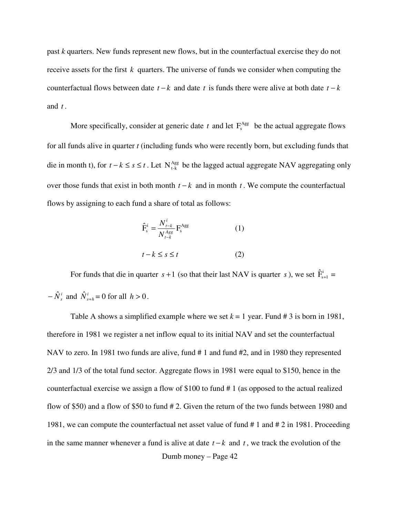past *k* quarters. New funds represent new flows, but in the counterfactual exercise they do not receive assets for the first *k* quarters. The universe of funds we consider when computing the counterfactual flows between date  $t - k$  and date  $t$  is funds there were alive at both date  $t - k$ and *t* .

More specifically, consider at generic date  $t$  and let  $F_s^{\text{Agg}}$  be the actual aggregate flows for all funds alive in quarter *t* (including funds who were recently born, but excluding funds that die in month t), for  $t - k \le s \le t$ . Let  $N_{t-k}^{Agg}$  be the lagged actual aggregate NAV aggregating only over those funds that exist in both month *t* − *k* and in month *t* . We compute the counterfactual flows by assigning to each fund a share of total as follows:

$$
\hat{\mathbf{F}}_{\mathbf{s}}^{\mathbf{i}} = \frac{N_{t-k}^{i}}{N_{t-k}^{Agg}} \mathbf{F}_{\mathbf{s}}^{Agg}
$$
\n
$$
t - k \le s \le t
$$
\n(1)

For funds that die in quarter  $s + 1$  (so that their last NAV is quarter *s*), we set  $\hat{F}^i_{s+1} =$  $-\hat{N}_s^i$  and  $\hat{N}_{s+h}^i = 0$  for all  $h > 0$ .

Dumb money – Page 42 Table A shows a simplified example where we set  $k = 1$  year. Fund # 3 is born in 1981, therefore in 1981 we register a net inflow equal to its initial NAV and set the counterfactual NAV to zero. In 1981 two funds are alive, fund #1 and fund #2, and in 1980 they represented 2/3 and 1/3 of the total fund sector. Aggregate flows in 1981 were equal to \$150, hence in the counterfactual exercise we assign a flow of \$100 to fund # 1 (as opposed to the actual realized flow of \$50) and a flow of \$50 to fund # 2. Given the return of the two funds between 1980 and 1981, we can compute the counterfactual net asset value of fund # 1 and # 2 in 1981. Proceeding in the same manner whenever a fund is alive at date *t* − *k* and *t* , we track the evolution of the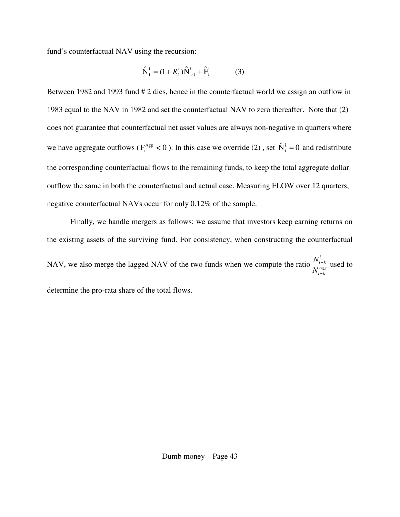fund's counterfactual NAV using the recursion:

$$
\hat{N}_{t}^{i} = (1 + R_{t}^{i})\hat{N}_{t-1}^{i} + \hat{F}_{t}^{i}
$$
 (3)

Between 1982 and 1993 fund # 2 dies, hence in the counterfactual world we assign an outflow in 1983 equal to the NAV in 1982 and set the counterfactual NAV to zero thereafter. Note that (2) does not guarantee that counterfactual net asset values are always non-negative in quarters where we have aggregate outflows ( $F_t^{\text{Agg}} < 0$ ). In this case we override (2), set  $\hat{N}_t^i = 0$  and redistribute the corresponding counterfactual flows to the remaining funds, to keep the total aggregate dollar outflow the same in both the counterfactual and actual case. Measuring FLOW over 12 quarters, negative counterfactual NAVs occur for only 0.12% of the sample.

Finally, we handle mergers as follows: we assume that investors keep earning returns on the existing assets of the surviving fund. For consistency, when constructing the counterfactual NAV, we also merge the lagged NAV of the two funds when we compute the ratio  $\frac{N_{t-k}}{M_{\text{Agg}}}$ *t k i t k N N* −  $\frac{-k}{\log a}$  used to determine the pro-rata share of the total flows.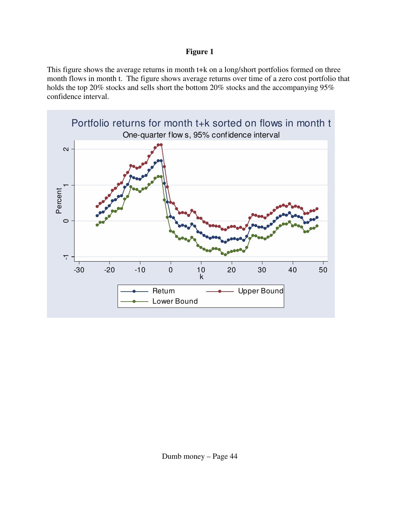# **Figure 1**

This figure shows the average returns in month t+k on a long/short portfolios formed on three month flows in month t. The figure shows average returns over time of a zero cost portfolio that holds the top 20% stocks and sells short the bottom 20% stocks and the accompanying 95% confidence interval.

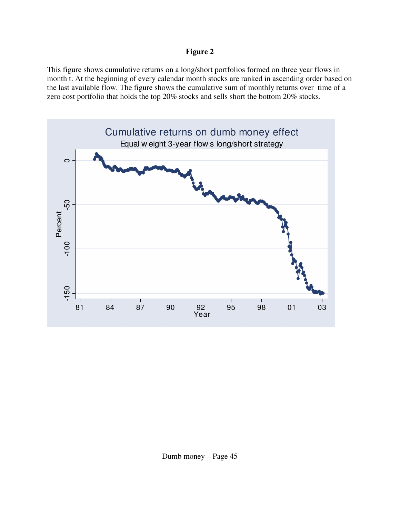# **Figure 2**

This figure shows cumulative returns on a long/short portfolios formed on three year flows in month t. At the beginning of every calendar month stocks are ranked in ascending order based on the last available flow. The figure shows the cumulative sum of monthly returns over time of a zero cost portfolio that holds the top 20% stocks and sells short the bottom 20% stocks.

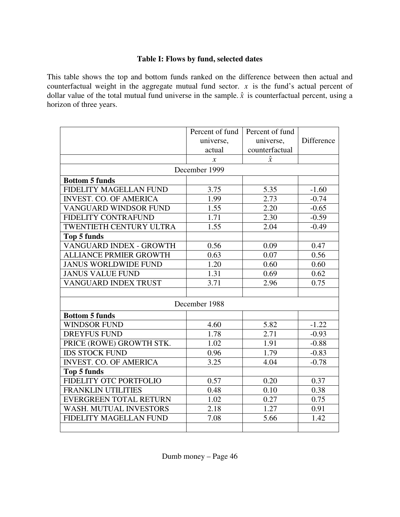# **Table I: Flows by fund, selected dates**

This table shows the top and bottom funds ranked on the difference between then actual and counterfactual weight in the aggregate mutual fund sector.  $x$  is the fund's actual percent of dollar value of the total mutual fund universe in the sample.  $\hat{x}$  is counterfactual percent, using a horizon of three years.

|                                | Percent of fund | Percent of fund |            |
|--------------------------------|-----------------|-----------------|------------|
|                                | universe,       | universe,       | Difference |
|                                | actual          | counterfactual  |            |
|                                | $\chi$          | $\hat{x}$       |            |
|                                | December 1999   |                 |            |
| <b>Bottom 5 funds</b>          |                 |                 |            |
| FIDELITY MAGELLAN FUND         | 3.75            | 5.35            | $-1.60$    |
| <b>INVEST. CO. OF AMERICA</b>  | 1.99            | 2.73            | $-0.74$    |
| VANGUARD WINDSOR FUND          | 1.55            | 2.20            | $-0.65$    |
| <b>FIDELITY CONTRAFUND</b>     | 1.71            | 2.30            | $-0.59$    |
| <b>TWENTIETH CENTURY ULTRA</b> | 1.55            | 2.04            | $-0.49$    |
| <b>Top 5 funds</b>             |                 |                 |            |
| VANGUARD INDEX - GROWTH        | 0.56            | 0.09            | 0.47       |
| <b>ALLIANCE PRMIER GROWTH</b>  | 0.63            | 0.07            | 0.56       |
| <b>JANUS WORLDWIDE FUND</b>    | 1.20            | 0.60            | 0.60       |
| <b>JANUS VALUE FUND</b>        | 1.31            | 0.69            | 0.62       |
| VANGUARD INDEX TRUST           | 3.71            | 2.96            | 0.75       |
|                                |                 |                 |            |
|                                | December 1988   |                 |            |
| <b>Bottom 5 funds</b>          |                 |                 |            |
| <b>WINDSOR FUND</b>            | 4.60            | 5.82            | $-1.22$    |
| <b>DREYFUS FUND</b>            | 1.78            | 2.71            | $-0.93$    |
| PRICE (ROWE) GROWTH STK.       | 1.02            | 1.91            | $-0.88$    |
| <b>IDS STOCK FUND</b>          | 0.96            | 1.79            | $-0.83$    |
| <b>INVEST. CO. OF AMERICA</b>  | 3.25            | 4.04            | $-0.78$    |
| <b>Top 5 funds</b>             |                 |                 |            |
| FIDELITY OTC PORTFOLIO         | 0.57            | 0.20            | 0.37       |
| <b>FRANKLIN UTILITIES</b>      | 0.48            | 0.10            | 0.38       |
| <b>EVERGREEN TOTAL RETURN</b>  | 1.02            | 0.27            | 0.75       |
| <b>WASH. MUTUAL INVESTORS</b>  | 2.18            | 1.27            | 0.91       |
| FIDELITY MAGELLAN FUND         | 7.08            | 5.66            | 1.42       |
|                                |                 |                 |            |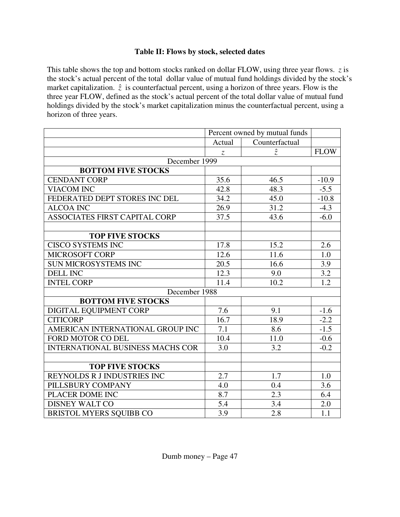# **Table II: Flows by stock, selected dates**

This table shows the top and bottom stocks ranked on dollar FLOW, using three year flows. *z* is the stock's actual percent of the total dollar value of mutual fund holdings divided by the stock's market capitalization.  $\hat{z}$  is counterfactual percent, using a horizon of three years. Flow is the three year FLOW, defined as the stock's actual percent of the total dollar value of mutual fund holdings divided by the stock's market capitalization minus the counterfactual percent, using a horizon of three years.

|                                         |               | Percent owned by mutual funds |             |  |
|-----------------------------------------|---------------|-------------------------------|-------------|--|
|                                         | Actual        | Counterfactual                |             |  |
|                                         | $\mathcal{Z}$ | $\hat{z}$                     | <b>FLOW</b> |  |
| December 1999                           |               |                               |             |  |
| <b>BOTTOM FIVE STOCKS</b>               |               |                               |             |  |
| <b>CENDANT CORP</b>                     | 35.6          | 46.5                          | $-10.9$     |  |
| <b>VIACOM INC</b>                       | 42.8          | 48.3                          | $-5.5$      |  |
| FEDERATED DEPT STORES INC DEL           | 34.2          | 45.0                          | $-10.8$     |  |
| <b>ALCOA INC</b>                        | 26.9          | 31.2                          | $-4.3$      |  |
| <b>ASSOCIATES FIRST CAPITAL CORP</b>    | 37.5          | 43.6                          | $-6.0$      |  |
|                                         |               |                               |             |  |
| <b>TOP FIVE STOCKS</b>                  |               |                               |             |  |
| <b>CISCO SYSTEMS INC</b>                | 17.8          | 15.2                          | 2.6         |  |
| MICROSOFT CORP                          | 12.6          | 11.6                          | 1.0         |  |
| SUN MICROSYSTEMS INC                    | 20.5          | 16.6                          | 3.9         |  |
| <b>DELL INC</b>                         | 12.3          | 9.0                           | 3.2         |  |
| <b>INTEL CORP</b>                       | 11.4          | 10.2                          | 1.2         |  |
| December 1988                           |               |                               |             |  |
| <b>BOTTOM FIVE STOCKS</b>               |               |                               |             |  |
| DIGITAL EQUIPMENT CORP                  | 7.6           | 9.1                           | $-1.6$      |  |
| <b>CITICORP</b>                         | 16.7          | 18.9                          | $-2.2$      |  |
| AMERICAN INTERNATIONAL GROUP INC        | 7.1           | 8.6                           | $-1.5$      |  |
| FORD MOTOR CO DEL                       | 10.4          | 11.0                          | $-0.6$      |  |
| <b>INTERNATIONAL BUSINESS MACHS COR</b> | 3.0           | 3.2                           | $-0.2$      |  |
|                                         |               |                               |             |  |
| <b>TOP FIVE STOCKS</b>                  |               |                               |             |  |
| REYNOLDS R J INDUSTRIES INC             | 2.7           | 1.7                           | 1.0         |  |
| PILLSBURY COMPANY                       | 4.0           | 0.4                           | 3.6         |  |
| PLACER DOME INC                         | 8.7           | 2.3                           | 6.4         |  |
| <b>DISNEY WALT CO</b>                   | 5.4           | 3.4                           | 2.0         |  |
| <b>BRISTOL MYERS SQUIBB CO</b>          | 3.9           | 2.8                           | 1.1         |  |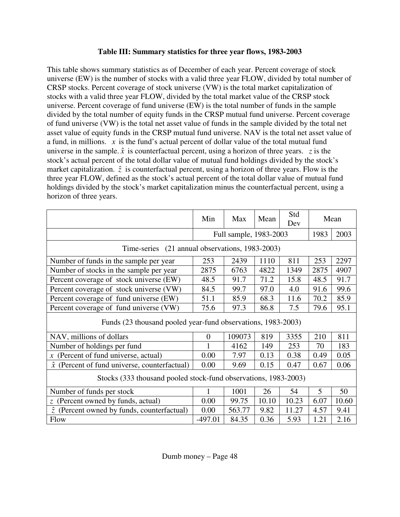# **Table III: Summary statistics for three year flows, 1983-2003**

This table shows summary statistics as of December of each year. Percent coverage of stock universe (EW) is the number of stocks with a valid three year FLOW, divided by total number of CRSP stocks. Percent coverage of stock universe (VW) is the total market capitalization of stocks with a valid three year FLOW, divided by the total market value of the CRSP stock universe. Percent coverage of fund universe (EW) is the total number of funds in the sample divided by the total number of equity funds in the CRSP mutual fund universe. Percent coverage of fund universe (VW) is the total net asset value of funds in the sample divided by the total net asset value of equity funds in the CRSP mutual fund universe. NAV is the total net asset value of a fund, in millions. *x* is the fund's actual percent of dollar value of the total mutual fund universe in the sample.  $\hat{x}$  is counterfactual percent, using a horizon of three years. *z* is the stock's actual percent of the total dollar value of mutual fund holdings divided by the stock's market capitalization.  $\hat{z}$  is counterfactual percent, using a horizon of three years. Flow is the three year FLOW, defined as the stock's actual percent of the total dollar value of mutual fund holdings divided by the stock's market capitalization minus the counterfactual percent, using a horizon of three years.

|                                                                 | Min            | Max<br>Mean            |       | Std<br>Dev |      | Mean  |
|-----------------------------------------------------------------|----------------|------------------------|-------|------------|------|-------|
|                                                                 |                | Full sample, 1983-2003 |       |            | 1983 | 2003  |
| Time-series (21 annual observations, 1983-2003)                 |                |                        |       |            |      |       |
| Number of funds in the sample per year                          | 253            | 2439                   | 1110  | 811        | 253  | 2297  |
| Number of stocks in the sample per year                         | 2875           | 6763                   | 4822  | 1349       | 2875 | 4907  |
| Percent coverage of stock universe (EW)                         | 48.5           | 91.7                   | 71.2  | 15.8       | 48.5 | 91.7  |
| Percent coverage of stock universe (VW)                         | 84.5           | 99.7                   | 97.0  | 4.0        | 91.6 | 99.6  |
| Percent coverage of fund universe (EW)                          | 51.1           | 85.9                   | 68.3  | 11.6       | 70.2 | 85.9  |
| Percent coverage of fund universe (VW)                          | 75.6           | 97.3                   | 86.8  | 7.5        | 79.6 | 95.1  |
| Funds (23 thousand pooled year-fund observations, 1983-2003)    |                |                        |       |            |      |       |
| NAV, millions of dollars                                        | $\overline{0}$ | 109073                 | 819   | 3355       | 210  | 811   |
| Number of holdings per fund                                     |                | 4162                   | 149   | 253        | 70   | 183   |
| (Percent of fund universe, actual)<br>$\mathcal{X}$             | 0.00           | 7.97                   | 0.13  | 0.38       | 0.49 | 0.05  |
| (Percent of fund universe, counterfactual)<br>$\hat{x}$         | 0.00           | 9.69                   | 0.15  | 0.47       | 0.67 | 0.06  |
| Stocks (333 thousand pooled stock-fund observations, 1983-2003) |                |                        |       |            |      |       |
| Number of funds per stock                                       | 1              | 1001                   | 26    | 54         | 5    | 50    |
| $\zeta$ (Percent owned by funds, actual)                        | 0.00           | 99.75                  | 10.10 | 10.23      | 6.07 | 10.60 |
| $\hat{z}$<br>(Percent owned by funds, counterfactual)           | 0.00           | 563.77                 | 9.82  | 11.27      | 4.57 | 9.41  |
| <b>Flow</b>                                                     | $-497.01$      | 84.35                  | 0.36  | 5.93       | 1.21 | 2.16  |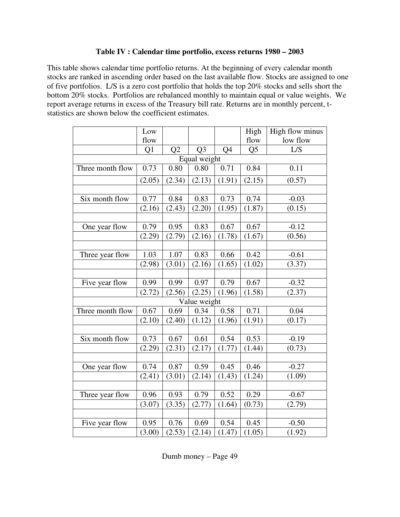## **Table IV : Calendar time portfolio, excess returns 1980 – 2003**

This table shows calendar time portfolio returns. At the beginning of every calendar month stocks are ranked in ascending order based on the last available flow. Stocks are assigned to one of five portfolios. L/S is a zero cost portfolio that holds the top 20% stocks and sells short the bottom 20% stocks. Portfolios are rebalanced monthly to maintain equal or value weights. We report average returns in excess of the Treasury bill rate. Returns are in monthly percent, tstatistics are shown below the coefficient estimates.

|                  | Low    |        |                |        | High           | High flow minus |  |  |  |
|------------------|--------|--------|----------------|--------|----------------|-----------------|--|--|--|
|                  | flow   |        |                |        | flow           | low flow        |  |  |  |
|                  | Q1     | Q2     | Q <sub>3</sub> | Q4     | Q <sub>5</sub> | L/S             |  |  |  |
| Equal weight     |        |        |                |        |                |                 |  |  |  |
| Three month flow | 0.73   | 0.80   | 0.80           | 0.71   | 0.84           | 0.11            |  |  |  |
|                  | (2.05) | (2.34) | (2.13)         | (1.91) | (2.15)         | (0.57)          |  |  |  |
|                  |        |        |                |        |                |                 |  |  |  |
| Six month flow   | 0.77   | 0.84   | 0.83           | 0.73   | 0.74           | $-0.03$         |  |  |  |
|                  | (2.16) | (2.43) | (2.20)         | (1.95) | (1.87)         | (0.15)          |  |  |  |
|                  |        |        |                |        |                |                 |  |  |  |
| One year flow    | 0.79   | 0.95   | 0.83           | 0.67   | 0.67           | $-0.12$         |  |  |  |
|                  | (2.29) | (2.79) | (2.16)         | (1.78) | (1.67)         | (0.56)          |  |  |  |
|                  |        |        |                |        |                |                 |  |  |  |
| Three year flow  | 1.03   | 1.07   | 0.83           | 0.66   | 0.42           | $-0.61$         |  |  |  |
|                  | (2.98) | (3.01) | (2.16)         | (1.65) | (1.02)         | (3.37)          |  |  |  |
|                  |        |        |                |        |                |                 |  |  |  |
| Five year flow   | 0.99   | 0.99   | 0.97           | 0.79   | 0.67           | $-0.32$         |  |  |  |
|                  | (2.72) | (2.56) | (2.25)         | (1.96) | (1.58)         | (2.37)          |  |  |  |
|                  |        |        | Value weight   |        |                |                 |  |  |  |
| Three month flow | 0.67   | 0.69   | 0.34           | 0.58   | 0.71           | 0.04            |  |  |  |
|                  | (2.10) | (2.40) | (1.12)         | (1.96) | (1.91)         | (0.17)          |  |  |  |
|                  |        |        |                |        |                |                 |  |  |  |
| Six month flow   | 0.73   | 0.67   | 0.61           | 0.54   | 0.53           | $-0.19$         |  |  |  |
|                  | (2.29) | (2.31) | (2.17)         | (1.77) | (1.44)         | (0.73)          |  |  |  |
|                  |        |        |                |        |                |                 |  |  |  |
| One year flow    | 0.74   | 0.87   | 0.59           | 0.45   | 0.46           | $-0.27$         |  |  |  |
|                  | (2.41) | (3.01) | (2.14)         | (1.43) | (1.24)         | (1.09)          |  |  |  |
|                  |        |        |                |        |                |                 |  |  |  |
| Three year flow  | 0.96   | 0.93   | 0.79           | 0.52   | 0.29           | $-0.67$         |  |  |  |
|                  | (3.07) | (3.35) | (2.77)         | (1.64) | (0.73)         | (2.79)          |  |  |  |
|                  |        |        |                |        |                |                 |  |  |  |
| Five year flow   | 0.95   | 0.76   | 0.69           | 0.54   | 0.45           | $-0.50$         |  |  |  |
|                  | (3.00) | (2.53) | (2.14)         | (1.47) | (1.05)         | (1.92)          |  |  |  |

Dumb money – Page 49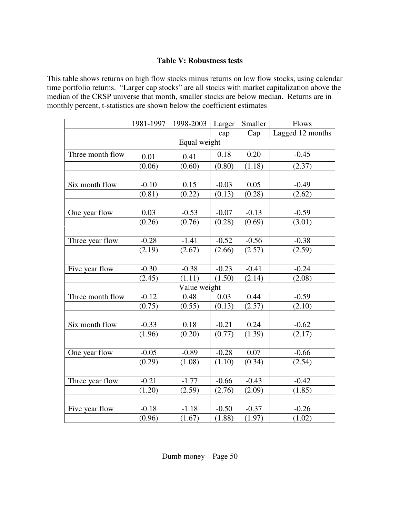## **Table V: Robustness tests**

This table shows returns on high flow stocks minus returns on low flow stocks, using calendar time portfolio returns. "Larger cap stocks" are all stocks with market capitalization above the median of the CRSP universe that month, smaller stocks are below median. Returns are in monthly percent, t-statistics are shown below the coefficient estimates

|                  | 1981-1997 | 1998-2003    | Larger  | Smaller | Flows            |  |  |  |  |  |
|------------------|-----------|--------------|---------|---------|------------------|--|--|--|--|--|
|                  |           |              | cap     | Cap     | Lagged 12 months |  |  |  |  |  |
| Equal weight     |           |              |         |         |                  |  |  |  |  |  |
| Three month flow | 0.01      | 0.41         | 0.18    | 0.20    | $-0.45$          |  |  |  |  |  |
|                  | (0.06)    | (0.60)       | (0.80)  | (1.18)  | (2.37)           |  |  |  |  |  |
|                  |           |              |         |         |                  |  |  |  |  |  |
| Six month flow   | $-0.10$   | 0.15         | $-0.03$ | 0.05    | $-0.49$          |  |  |  |  |  |
|                  | (0.81)    | (0.22)       | (0.13)  | (0.28)  | (2.62)           |  |  |  |  |  |
|                  |           |              |         |         |                  |  |  |  |  |  |
| One year flow    | 0.03      | $-0.53$      | $-0.07$ | $-0.13$ | $-0.59$          |  |  |  |  |  |
|                  | (0.26)    | (0.76)       | (0.28)  | (0.69)  | (3.01)           |  |  |  |  |  |
|                  |           |              |         |         |                  |  |  |  |  |  |
| Three year flow  | $-0.28$   | $-1.41$      | $-0.52$ | $-0.56$ | $-0.38$          |  |  |  |  |  |
|                  | (2.19)    | (2.67)       | (2.66)  | (2.57)  | (2.59)           |  |  |  |  |  |
|                  |           |              |         |         |                  |  |  |  |  |  |
| Five year flow   | $-0.30$   | $-0.38$      | $-0.23$ | $-0.41$ | $-0.24$          |  |  |  |  |  |
|                  | (2.45)    | (1.11)       | (1.50)  | (2.14)  | (2.08)           |  |  |  |  |  |
|                  |           | Value weight |         |         |                  |  |  |  |  |  |
| Three month flow | $-0.12$   | 0.48         | 0.03    | 0.44    | $-0.59$          |  |  |  |  |  |
|                  | (0.75)    | (0.55)       | (0.13)  | (2.57)  | (2.10)           |  |  |  |  |  |
|                  |           |              |         |         |                  |  |  |  |  |  |
| Six month flow   | $-0.33$   | 0.18         | $-0.21$ | 0.24    | $-0.62$          |  |  |  |  |  |
|                  | (1.96)    | (0.20)       | (0.77)  | (1.39)  | (2.17)           |  |  |  |  |  |
|                  |           |              |         |         |                  |  |  |  |  |  |
| One year flow    | $-0.05$   | $-0.89$      | $-0.28$ | 0.07    | $-0.66$          |  |  |  |  |  |
|                  | (0.29)    | (1.08)       | (1.10)  | (0.34)  | (2.54)           |  |  |  |  |  |
|                  |           |              |         |         |                  |  |  |  |  |  |
| Three year flow  | $-0.21$   | $-1.77$      | $-0.66$ | $-0.43$ | $-0.42$          |  |  |  |  |  |
|                  | (1.20)    | (2.59)       | (2.76)  | (2.09)  | (1.85)           |  |  |  |  |  |
|                  |           |              |         |         |                  |  |  |  |  |  |
| Five year flow   | $-0.18$   | $-1.18$      | $-0.50$ | $-0.37$ | $-0.26$          |  |  |  |  |  |
|                  | (0.96)    | (1.67)       | (1.88)  | (1.97)  | (1.02)           |  |  |  |  |  |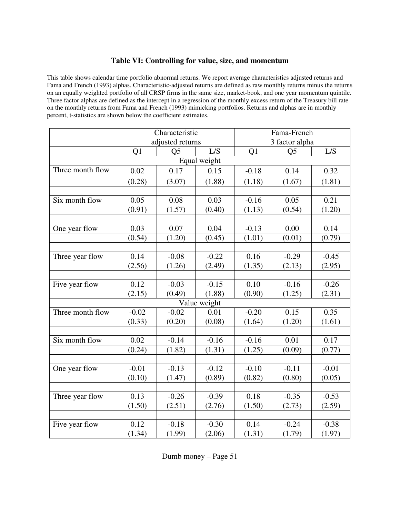## **Table VI: Controlling for value, size, and momentum**

This table shows calendar time portfolio abnormal returns. We report average characteristics adjusted returns and Fama and French (1993) alphas. Characteristic-adjusted returns are defined as raw monthly returns minus the returns on an equally weighted portfolio of all CRSP firms in the same size, market-book, and one year momentum quintile. Three factor alphas are defined as the intercept in a regression of the monthly excess return of the Treasury bill rate on the monthly returns from Fama and French (1993) mimicking portfolios. Returns and alphas are in monthly percent, t-statistics are shown below the coefficient estimates.

|                  | Characteristic   |                |              | Fama-French    |                |         |  |  |  |  |
|------------------|------------------|----------------|--------------|----------------|----------------|---------|--|--|--|--|
|                  | adjusted returns |                |              | 3 factor alpha |                |         |  |  |  |  |
|                  | Q1               | Q <sub>5</sub> | L/S          | Q1             | Q <sub>5</sub> | L/S     |  |  |  |  |
| Equal weight     |                  |                |              |                |                |         |  |  |  |  |
| Three month flow | 0.02             | 0.17           | 0.15         | $-0.18$        | 0.14           | 0.32    |  |  |  |  |
|                  | (0.28)           | (3.07)         | (1.88)       | (1.18)         | (1.67)         | (1.81)  |  |  |  |  |
|                  |                  |                |              |                |                |         |  |  |  |  |
| Six month flow   | 0.05             | 0.08           | 0.03         | $-0.16$        | 0.05           | 0.21    |  |  |  |  |
|                  | (0.91)           | (1.57)         | (0.40)       | (1.13)         | (0.54)         | (1.20)  |  |  |  |  |
|                  |                  |                |              |                |                |         |  |  |  |  |
| One year flow    | 0.03             | 0.07           | 0.04         | $-0.13$        | 0.00           | 0.14    |  |  |  |  |
|                  | (0.54)           | (1.20)         | (0.45)       | (1.01)         | (0.01)         | (0.79)  |  |  |  |  |
|                  |                  |                |              |                |                |         |  |  |  |  |
| Three year flow  | 0.14             | $-0.08$        | $-0.22$      | 0.16           | $-0.29$        | $-0.45$ |  |  |  |  |
|                  | (2.56)           | (1.26)         | (2.49)       | (1.35)         | (2.13)         | (2.95)  |  |  |  |  |
|                  |                  |                |              |                |                |         |  |  |  |  |
| Five year flow   | 0.12             | $-0.03$        | $-0.15$      | 0.10           | $-0.16$        | $-0.26$ |  |  |  |  |
|                  | (2.15)           | (0.49)         | (1.88)       | (0.90)         | (1.25)         | (2.31)  |  |  |  |  |
|                  |                  |                | Value weight |                |                |         |  |  |  |  |
| Three month flow | $-0.02$          | $-0.02$        | 0.01         | $-0.20$        | 0.15           | 0.35    |  |  |  |  |
|                  | (0.33)           | (0.20)         | (0.08)       | (1.64)         | (1.20)         | (1.61)  |  |  |  |  |
|                  |                  |                |              |                |                |         |  |  |  |  |
| Six month flow   | 0.02             | $-0.14$        | $-0.16$      | $-0.16$        | 0.01           | 0.17    |  |  |  |  |
|                  | (0.24)           | (1.82)         | (1.31)       | (1.25)         | (0.09)         | (0.77)  |  |  |  |  |
|                  |                  |                |              |                |                |         |  |  |  |  |
| One year flow    | $-0.01$          | $-0.13$        | $-0.12$      | $-0.10$        | $-0.11$        | $-0.01$ |  |  |  |  |
|                  | (0.10)           | (1.47)         | (0.89)       | (0.82)         | (0.80)         | (0.05)  |  |  |  |  |
|                  |                  |                |              |                |                |         |  |  |  |  |
| Three year flow  | 0.13             | $-0.26$        | $-0.39$      | 0.18           | $-0.35$        | $-0.53$ |  |  |  |  |
|                  | (1.50)           | (2.51)         | (2.76)       | (1.50)         | (2.73)         | (2.59)  |  |  |  |  |
|                  |                  |                |              |                |                |         |  |  |  |  |
| Five year flow   | 0.12             | $-0.18$        | $-0.30$      | 0.14           | $-0.24$        | $-0.38$ |  |  |  |  |
|                  | (1.34)           | (1.99)         | (2.06)       | (1.31)         | (1.79)         | (1.97)  |  |  |  |  |

Dumb money – Page 51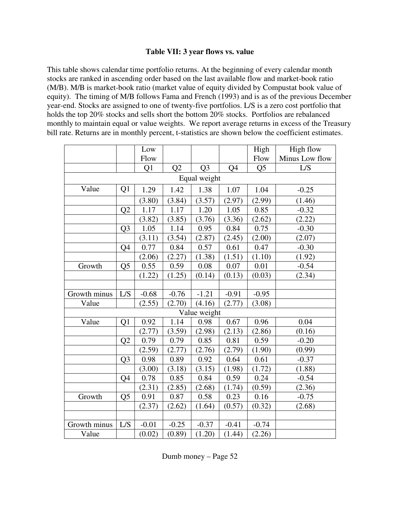## **Table VII: 3 year flows vs. value**

This table shows calendar time portfolio returns. At the beginning of every calendar month stocks are ranked in ascending order based on the last available flow and market-book ratio (M/B). M/B is market-book ratio (market value of equity divided by Compustat book value of equity). The timing of M/B follows Fama and French (1993) and is as of the previous December year-end. Stocks are assigned to one of twenty-five portfolios. L/S is a zero cost portfolio that holds the top 20% stocks and sells short the bottom 20% stocks. Portfolios are rebalanced monthly to maintain equal or value weights. We report average returns in excess of the Treasury bill rate. Returns are in monthly percent, t-statistics are shown below the coefficient estimates.

|              |                | Low     |         |                |                | High           | High flow      |  |  |
|--------------|----------------|---------|---------|----------------|----------------|----------------|----------------|--|--|
|              |                | Flow    |         |                |                | Flow           | Minus Low flow |  |  |
|              |                | Q1      | Q2      | Q <sub>3</sub> | Q <sub>4</sub> | Q <sub>5</sub> | L/S            |  |  |
| Equal weight |                |         |         |                |                |                |                |  |  |
| Value        | Q1             | 1.29    | 1.42    | 1.38           | 1.07           | 1.04           | $-0.25$        |  |  |
|              |                | (3.80)  | (3.84)  | (3.57)         | (2.97)         | (2.99)         | (1.46)         |  |  |
|              | Q2             | 1.17    | 1.17    | 1.20           | 1.05           | 0.85           | $-0.32$        |  |  |
|              |                | (3.82)  | (3.85)  | (3.76)         | (3.36)         | (2.62)         | (2.22)         |  |  |
|              | Q <sub>3</sub> | 1.05    | 1.14    | 0.95           | 0.84           | 0.75           | $-0.30$        |  |  |
|              |                | (3.11)  | (3.54)  | (2.87)         | (2.45)         | (2.00)         | (2.07)         |  |  |
|              | Q4             | 0.77    | 0.84    | 0.57           | 0.61           | 0.47           | $-0.30$        |  |  |
|              |                | (2.06)  | (2.27)  | (1.38)         | (1.51)         | (1.10)         | (1.92)         |  |  |
| Growth       | Q <sub>5</sub> | 0.55    | 0.59    | 0.08           | 0.07           | 0.01           | $-0.54$        |  |  |
|              |                | (1.22)  | (1.25)  | (0.14)         | (0.13)         | (0.03)         | (2.34)         |  |  |
|              |                |         |         |                |                |                |                |  |  |
| Growth minus | L/S            | $-0.68$ | $-0.76$ | $-1.21$        | $-0.91$        | $-0.95$        |                |  |  |
| Value        |                | (2.55)  | (2.70)  | (4.16)         | (2.77)         | (3.08)         |                |  |  |
|              |                |         |         | Value weight   |                |                |                |  |  |
| Value        | Q1             | 0.92    | 1.14    | 0.98           | 0.67           | 0.96           | 0.04           |  |  |
|              |                | (2.77)  | (3.59)  | (2.98)         | (2.13)         | (2.86)         | (0.16)         |  |  |
|              | Q2             | 0.79    | 0.79    | 0.85           | 0.81           | 0.59           | $-0.20$        |  |  |
|              |                | (2.59)  | (2.77)  | (2.76)         | (2.79)         | (1.90)         | (0.99)         |  |  |
|              | Q <sub>3</sub> | 0.98    | 0.89    | 0.92           | 0.64           | 0.61           | $-0.37$        |  |  |
|              |                | (3.00)  | (3.18)  | (3.15)         | (1.98)         | (1.72)         | (1.88)         |  |  |
|              | Q4             | 0.78    | 0.85    | 0.84           | 0.59           | 0.24           | $-0.54$        |  |  |
|              |                | (2.31)  | (2.85)  | (2.68)         | (1.74)         | (0.59)         | (2.36)         |  |  |
| Growth       | Q <sub>5</sub> | 0.91    | 0.87    | 0.58           | 0.23           | 0.16           | $-0.75$        |  |  |
|              |                | (2.37)  | (2.62)  | (1.64)         | (0.57)         | (0.32)         | (2.68)         |  |  |
|              |                |         |         |                |                |                |                |  |  |
| Growth minus | L/S            | $-0.01$ | $-0.25$ | $-0.37$        | $-0.41$        | $-0.74$        |                |  |  |
| Value        |                | (0.02)  | (0.89)  | (1.20)         | (1.44)         | (2.26)         |                |  |  |

Dumb money – Page 52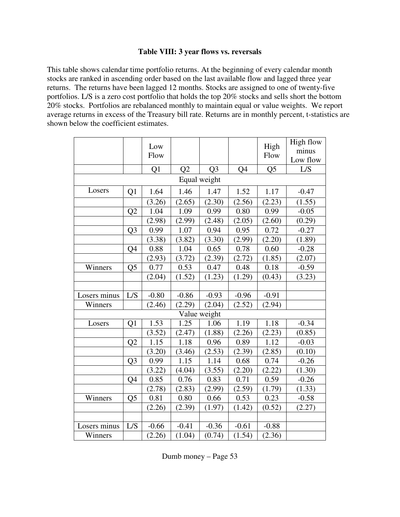## **Table VIII: 3 year flows vs. reversals**

This table shows calendar time portfolio returns. At the beginning of every calendar month stocks are ranked in ascending order based on the last available flow and lagged three year returns. The returns have been lagged 12 months. Stocks are assigned to one of twenty-five portfolios. L/S is a zero cost portfolio that holds the top 20% stocks and sells short the bottom 20% stocks. Portfolios are rebalanced monthly to maintain equal or value weights. We report average returns in excess of the Treasury bill rate. Returns are in monthly percent, t-statistics are shown below the coefficient estimates.

|              |                | Low<br>Flow |                |                |                | High<br>Flow   | High flow<br>minus<br>Low flow |
|--------------|----------------|-------------|----------------|----------------|----------------|----------------|--------------------------------|
|              |                | Q1          | Q <sub>2</sub> | Q <sub>3</sub> | Q <sub>4</sub> | Q <sub>5</sub> | L/S                            |
|              |                |             |                | Equal weight   |                |                |                                |
| Losers       | Q1             | 1.64        | 1.46           | 1.47           | 1.52           | 1.17           | $-0.47$                        |
|              |                | (3.26)      | (2.65)         | (2.30)         | (2.56)         | (2.23)         | (1.55)                         |
|              | Q2             | 1.04        | 1.09           | 0.99           | 0.80           | 0.99           | $-0.05$                        |
|              |                | (2.98)      | (2.99)         | (2.48)         | (2.05)         | (2.60)         | (0.29)                         |
|              | Q <sub>3</sub> | 0.99        | 1.07           | 0.94           | 0.95           | 0.72           | $-0.27$                        |
|              |                | (3.38)      | (3.82)         | (3.30)         | (2.99)         | (2.20)         | (1.89)                         |
|              | Q4             | 0.88        | 1.04           | 0.65           | 0.78           | 0.60           | $-0.28$                        |
|              |                | (2.93)      | (3.72)         | (2.39)         | (2.72)         | (1.85)         | (2.07)                         |
| Winners      | Q <sub>5</sub> | 0.77        | 0.53           | 0.47           | 0.48           | 0.18           | $-0.59$                        |
|              |                | (2.04)      | (1.52)         | (1.23)         | (1.29)         | (0.43)         | (3.23)                         |
|              |                |             |                |                |                |                |                                |
| Losers minus | L/S            | $-0.80$     | $-0.86$        | $-0.93$        | $-0.96$        | $-0.91$        |                                |
| Winners      |                | (2.46)      | (2.29)         | (2.04)         | (2.52)         | (2.94)         |                                |
|              |                |             |                | Value weight   |                |                |                                |
| Losers       | Q1             | 1.53        | 1.25           | 1.06           | 1.19           | 1.18           | $-0.34$                        |
|              |                | (3.52)      | (2.47)         | (1.88)         | (2.26)         | (2.23)         | (0.85)                         |
|              | Q2             | 1.15        | 1.18           | 0.96           | 0.89           | 1.12           | $-0.03$                        |
|              |                | (3.20)      | (3.46)         | (2.53)         | (2.39)         | (2.85)         | (0.10)                         |
|              | Q <sub>3</sub> | 0.99        | 1.15           | 1.14           | 0.68           | 0.74           | $-0.26$                        |
|              |                | (3.22)      | (4.04)         | (3.55)         | (2.20)         | (2.22)         | (1.30)                         |
|              | Q4             | 0.85        | 0.76           | 0.83           | 0.71           | 0.59           | $-0.26$                        |
|              |                | (2.78)      | (2.83)         | (2.99)         | (2.59)         | (1.79)         | (1.33)                         |
| Winners      | Q <sub>5</sub> | 0.81        | 0.80           | 0.66           | 0.53           | 0.23           | $-0.58$                        |
|              |                | (2.26)      | (2.39)         | (1.97)         | (1.42)         | (0.52)         | (2.27)                         |
|              |                |             |                |                |                |                |                                |
| Losers minus | $\mathbf{L/S}$ | $-0.66$     | $-0.41$        | $-0.36$        | $-0.61$        | $-0.88$        |                                |
| Winners      |                | (2.26)      | (1.04)         | (0.74)         | (1.54)         | (2.36)         |                                |

Dumb money – Page 53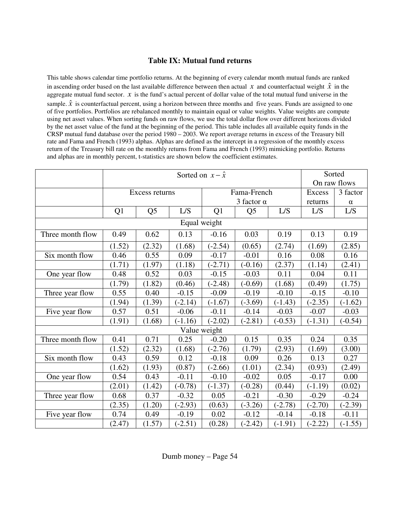# **Table IX: Mutual fund returns**

This table shows calendar time portfolio returns. At the beginning of every calendar month mutual funds are ranked in ascending order based on the last available difference between then actual *x* and counterfactual weight  $\hat{x}$  in the aggregate mutual fund sector.  $x$  is the fund's actual percent of dollar value of the total mutual fund universe in the sample.  $\hat{x}$  is counterfactual percent, using a horizon between three months and five years. Funds are assigned to one of five portfolios. Portfolios are rebalanced monthly to maintain equal or value weights. Value weights are compute using net asset values. When sorting funds on raw flows, we use the total dollar flow over different horizons divided by the net asset value of the fund at the beginning of the period. This table includes all available equity funds in the CRSP mutual fund database over the period 1980 – 2003. We report average returns in excess of the Treasury bill rate and Fama and French (1993) alphas. Alphas are defined as the intercept in a regression of the monthly excess return of the Treasury bill rate on the monthly returns from Fama and French (1993) mimicking portfolio. Returns and alphas are in monthly percent, t-statistics are shown below the coefficient estimates.

|                  |        |                |              |           | Sorted            |           |           |              |
|------------------|--------|----------------|--------------|-----------|-------------------|-----------|-----------|--------------|
|                  |        |                |              |           |                   |           |           | On raw flows |
|                  |        | Excess returns |              |           | Fama-French       |           | Excess    | 3 factor     |
|                  |        |                |              |           | 3 factor $\alpha$ |           | returns   | $\alpha$     |
|                  | Q1     | Q <sub>5</sub> | L/S          | Q1        | Q <sub>5</sub>    | L/S       | L/S       | L/S          |
|                  |        |                | Equal weight |           |                   |           |           |              |
| Three month flow | 0.49   | 0.62           | 0.13         | $-0.16$   | 0.03              | 0.19      | 0.13      | 0.19         |
|                  | (1.52) | (2.32)         | (1.68)       | $(-2.54)$ | (0.65)            | (2.74)    | (1.69)    | (2.85)       |
| Six month flow   | 0.46   | 0.55           | 0.09         | $-0.17$   | $-0.01$           | 0.16      | 0.08      | 0.16         |
|                  | (1.71) | (1.97)         | (1.18)       | $(-2.71)$ | $(-0.16)$         | (2.37)    | (1.14)    | (2.41)       |
| One year flow    | 0.48   | 0.52           | 0.03         | $-0.15$   | $-0.03$           | 0.11      | 0.04      | 0.11         |
|                  | (1.79) | (1.82)         | (0.46)       | $(-2.48)$ | $(-0.69)$         | (1.68)    | (0.49)    | (1.75)       |
| Three year flow  | 0.55   | 0.40           | $-0.15$      | $-0.09$   | $-0.19$           | $-0.10$   | $-0.15$   | $-0.10$      |
|                  | (1.94) | (1.39)         | $(-2.14)$    | $(-1.67)$ | $(-3.69)$         | $(-1.43)$ | $(-2.35)$ | $(-1.62)$    |
| Five year flow   | 0.57   | 0.51           | $-0.06$      | $-0.11$   | $-0.14$           | $-0.03$   | $-0.07$   | $-0.03$      |
|                  | (1.91) | (1.68)         | $(-1.16)$    | $(-2.02)$ | $(-2.81)$         | $(-0.53)$ | $(-1.31)$ | $(-0.54)$    |
|                  |        |                | Value weight |           |                   |           |           |              |
| Three month flow | 0.41   | 0.71           | 0.25         | $-0.20$   | 0.15              | 0.35      | 0.24      | 0.35         |
|                  | (1.52) | (2.32)         | (1.68)       | $(-2.76)$ | (1.79)            | (2.93)    | (1.69)    | (3.00)       |
| Six month flow   | 0.43   | 0.59           | 0.12         | $-0.18$   | 0.09              | 0.26      | 0.13      | 0.27         |
|                  | (1.62) | (1.93)         | (0.87)       | $(-2.66)$ | (1.01)            | (2.34)    | (0.93)    | (2.49)       |
| One year flow    | 0.54   | 0.43           | $-0.11$      | $-0.10$   | $-0.02$           | 0.05      | $-0.17$   | 0.00         |
|                  | (2.01) | (1.42)         | $(-0.78)$    | $(-1.37)$ | $(-0.28)$         | (0.44)    | $(-1.19)$ | (0.02)       |
| Three year flow  | 0.68   | 0.37           | $-0.32$      | 0.05      | $-0.21$           | $-0.30$   | $-0.29$   | $-0.24$      |
|                  | (2.35) | (1.20)         | $(-2.93)$    | (0.63)    | $(-3.26)$         | $(-2.78)$ | $(-2.70)$ | $(-2.39)$    |
| Five year flow   | 0.74   | 0.49           | $-0.19$      | 0.02      | $-0.12$           | $-0.14$   | $-0.18$   | $-0.11$      |
|                  | (2.47) | (1.57)         | $(-2.51)$    | (0.28)    | $(-2.42)$         | $(-1.91)$ | $(-2.22)$ | $(-1.55)$    |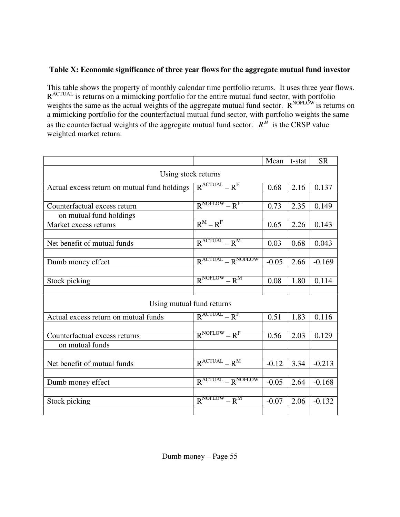# **Table X: Economic significance of three year flows for the aggregate mutual fund investor**

This table shows the property of monthly calendar time portfolio returns. It uses three year flows. R<sup>ACTUAL</sup> is returns on a mimicking portfolio for the entire mutual fund sector, with portfolio weights the same as the actual weights of the aggregate mutual fund sector.  $R^{NOFLOW}$  is returns on a mimicking portfolio for the counterfactual mutual fund sector, with portfolio weights the same as the counterfactual weights of the aggregate mutual fund sector.  $R^M$  is the CRSP value weighted market return.

|                                              |                           | Mean    | t-stat | <b>SR</b> |
|----------------------------------------------|---------------------------|---------|--------|-----------|
| Using stock returns                          |                           |         |        |           |
| Actual excess return on mutual fund holdings | $R^{ACTUAL} - R^{F}$      | 0.68    | 2.16   | 0.137     |
|                                              |                           |         |        |           |
| Counterfactual excess return                 | $R^{NOFLOW} - R^{F}$      | 0.73    | 2.35   | 0.149     |
| on mutual fund holdings                      |                           |         |        |           |
| Market excess returns                        | $R^M - R^F$               | 0.65    | 2.26   | 0.143     |
| Net benefit of mutual funds                  | $R^{ACTUAL} - R^{M}$      | 0.03    | 0.68   | 0.043     |
|                                              |                           |         |        |           |
| Dumb money effect                            | $R^{ACTUAL} - R^{NOFLOW}$ | $-0.05$ | 2.66   | $-0.169$  |
| Stock picking                                | $R^{NOFLOW} - R^{M}$      | 0.08    | 1.80   | 0.114     |
|                                              |                           |         |        |           |
| Using mutual fund returns                    |                           |         |        |           |
| Actual excess return on mutual funds         | $R^{ACTUAL} - R^F$        | 0.51    | 1.83   | 0.116     |
| Counterfactual excess returns                | $R^{NOFLOW} - R^{F}$      | 0.56    | 2.03   | 0.129     |
| on mutual funds                              |                           |         |        |           |
|                                              |                           |         |        |           |
| Net benefit of mutual funds                  | $R^{ACTUAL} - R^{M}$      | $-0.12$ | 3.34   | $-0.213$  |
| Dumb money effect                            | $R^{ACTUAL} - R^{NOFLOW}$ | $-0.05$ | 2.64   | $-0.168$  |
|                                              |                           |         |        |           |
| Stock picking                                | $R^{NOFLOW} - R^{M}$      | $-0.07$ | 2.06   | $-0.132$  |
|                                              |                           |         |        |           |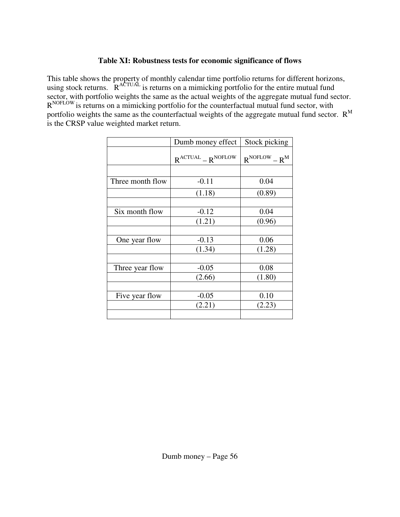# **Table XI: Robustness tests for economic significance of flows**

This table shows the property of monthly calendar time portfolio returns for different horizons, using stock returns.  $R^{ACTUAL}$  is returns on a mimicking portfolio for the entire mutual fund sector, with portfolio weights the same as the actual weights of the aggregate mutual fund sector. R<sup>NOFLOW</sup> is returns on a mimicking portfolio for the counterfactual mutual fund sector, with portfolio weights the same as the counterfactual weights of the aggregate mutual fund sector.  $R<sup>M</sup>$ is the CRSP value weighted market return.

|                  | Dumb money effect         | Stock picking        |
|------------------|---------------------------|----------------------|
|                  | $R^{ACTUAL} - R^{NOFLOW}$ | $R^{NOFLOW} - R^{M}$ |
|                  |                           |                      |
| Three month flow | $-0.11$                   | 0.04                 |
|                  | (1.18)                    | (0.89)               |
|                  |                           |                      |
| Six month flow   | $-0.12$                   | 0.04                 |
|                  | (1.21)                    | (0.96)               |
|                  |                           |                      |
| One year flow    | $-0.13$                   | 0.06                 |
|                  | (1.34)                    | (1.28)               |
|                  |                           |                      |
| Three year flow  | $-0.05$                   | 0.08                 |
|                  | (2.66)                    | (1.80)               |
|                  |                           |                      |
| Five year flow   | $-0.05$                   | 0.10                 |
|                  | (2.21)                    | (2.23)               |
|                  |                           |                      |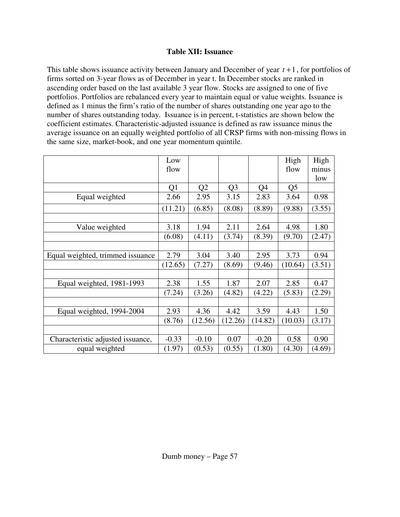# **Table XII: Issuance**

This table shows issuance activity between January and December of year *t* +1, for portfolios of firms sorted on 3-year flows as of December in year t. In December stocks are ranked in ascending order based on the last available 3 year flow. Stocks are assigned to one of five portfolios. Portfolios are rebalanced every year to maintain equal or value weights. Issuance is defined as 1 minus the firm's ratio of the number of shares outstanding one year ago to the number of shares outstanding today. Issuance is in percent, t-statistics are shown below the coefficient estimates. Characteristic-adjusted issuance is defined as raw issuance minus the average issuance on an equally weighted portfolio of all CRSP firms with non-missing flows in the same size, market-book, and one year momentum quintile.

|                                   | Low     |                |                |         | High    | High   |
|-----------------------------------|---------|----------------|----------------|---------|---------|--------|
|                                   | flow    |                |                |         | flow    | minus  |
|                                   |         |                |                |         |         | low    |
|                                   | Q1      | Q <sub>2</sub> | Q <sub>3</sub> | Q4      | Q5      |        |
| Equal weighted                    | 2.66    | 2.95           | 3.15           | 2.83    | 3.64    | 0.98   |
|                                   | (11.21) | (6.85)         | (8.08)         | (8.89)  | (9.88)  | (3.55) |
|                                   |         |                |                |         |         |        |
| Value weighted                    | 3.18    | 1.94           | 2.11           | 2.64    | 4.98    | 1.80   |
|                                   | (6.08)  | (4.11)         | (3.74)         | (8.39)  | (9.70)  | (2.47) |
|                                   |         |                |                |         |         |        |
| Equal weighted, trimmed issuance  | 2.79    | 3.04           | 3.40           | 2.95    | 3.73    | 0.94   |
|                                   | (12.65) | (7.27)         | (8.69)         | (9.46)  | (10.64) | (3.51) |
|                                   |         |                |                |         |         |        |
| Equal weighted, 1981-1993         | 2.38    | 1.55           | 1.87           | 2.07    | 2.85    | 0.47   |
|                                   | (7.24)  | (3.26)         | (4.82)         | (4.22)  | (5.83)  | (2.29) |
|                                   |         |                |                |         |         |        |
| Equal weighted, 1994-2004         | 2.93    | 4.36           | 4.42           | 3.59    | 4.43    | 1.50   |
|                                   | (8.76)  | (12.56)        | (12.26)        | (14.82) | (10.03) | (3.17) |
|                                   |         |                |                |         |         |        |
| Characteristic adjusted issuance, | $-0.33$ | $-0.10$        | 0.07           | $-0.20$ | 0.58    | 0.90   |
| equal weighted                    | (1.97)  | (0.53)         | (0.55)         | (1.80)  | (4.30)  | (4.69) |